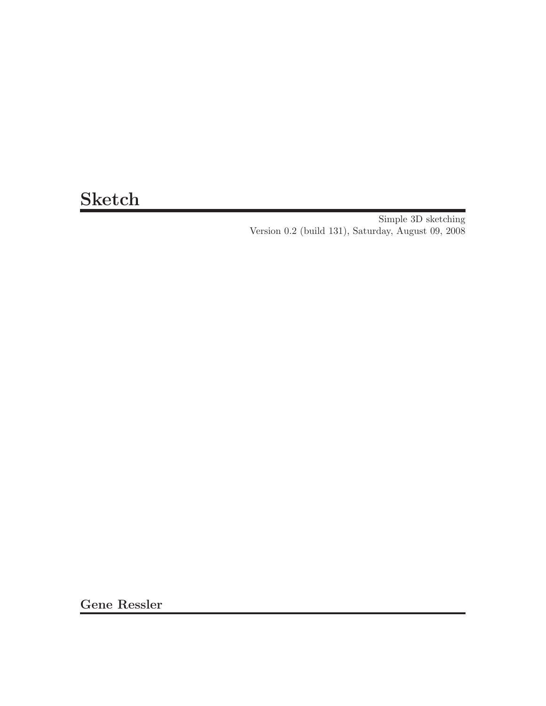# Sketch

Simple 3D sketching Version 0.2 (build 131), Saturday, August 09, 2008

Gene Ressler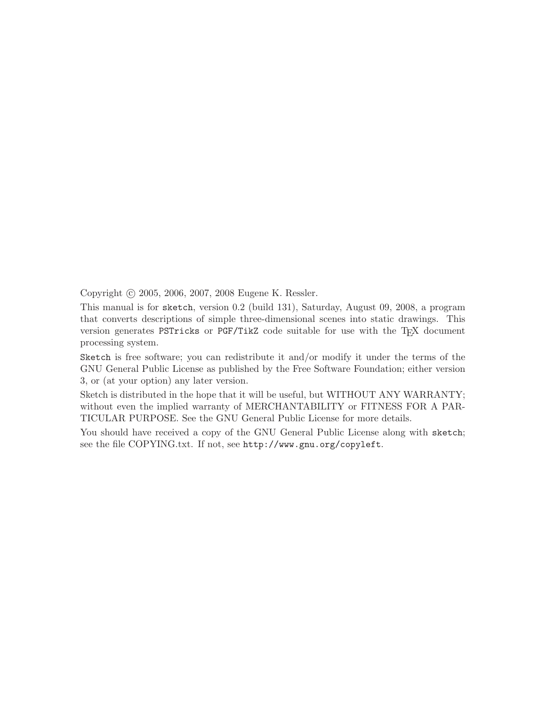Copyright © 2005, 2006, 2007, 2008 Eugene K. Ressler.

This manual is for sketch, version 0.2 (build 131), Saturday, August 09, 2008, a program that converts descriptions of simple three-dimensional scenes into static drawings. This version generates PSTricks or PGF/TikZ code suitable for use with the TEX document processing system.

Sketch is free software; you can redistribute it and/or modify it under the terms of the GNU General Public License as published by the Free Software Foundation; either version 3, or (at your option) any later version.

Sketch is distributed in the hope that it will be useful, but WITHOUT ANY WARRANTY; without even the implied warranty of MERCHANTABILITY or FITNESS FOR A PAR-TICULAR PURPOSE. See the GNU General Public License for more details.

You should have received a copy of the GNU General Public License along with sketch; see the file COPYING.txt. If not, see http://www.gnu.org/copyleft.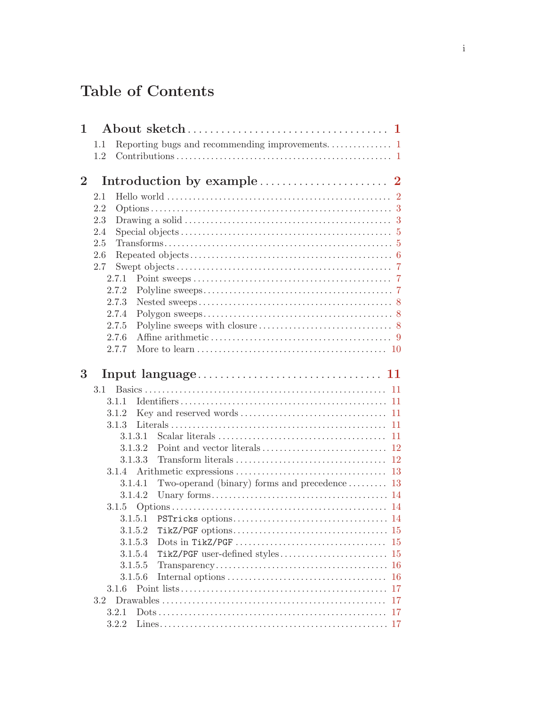# Table of Contents

| $\mathbf{1}$ |               |                                                                                                                       |
|--------------|---------------|-----------------------------------------------------------------------------------------------------------------------|
|              | 1.1           |                                                                                                                       |
|              | 1.2           |                                                                                                                       |
|              |               |                                                                                                                       |
| $\bf{2}$     |               |                                                                                                                       |
|              | 2.1           |                                                                                                                       |
|              | 2.2           |                                                                                                                       |
|              | 2.3           |                                                                                                                       |
|              | 2.4           |                                                                                                                       |
|              | 2.5           |                                                                                                                       |
|              | 2.6           |                                                                                                                       |
|              | 2.7           |                                                                                                                       |
|              | 2.7.1         |                                                                                                                       |
|              | 2.7.2         |                                                                                                                       |
|              | 2.7.3         |                                                                                                                       |
|              | 2.7.4         |                                                                                                                       |
|              | 2.7.5         |                                                                                                                       |
|              | 2.7.6         |                                                                                                                       |
|              | 2.7.7         |                                                                                                                       |
|              |               |                                                                                                                       |
| 3            |               |                                                                                                                       |
|              | 3.1           | 11                                                                                                                    |
|              | 3.1.1         | 11                                                                                                                    |
|              | 3.1.2         | 11                                                                                                                    |
|              | 3.1.3         | 11                                                                                                                    |
|              |               | 3.1.3.1<br>11                                                                                                         |
|              |               | 3.1.3.2<br>12                                                                                                         |
|              |               | 3.1.3.3<br>12                                                                                                         |
|              | 3.1.4         | 13                                                                                                                    |
|              |               | Two-operand (binary) forms and precedence  13<br>3.1.4.1                                                              |
|              |               | 3.1.4.2                                                                                                               |
|              |               |                                                                                                                       |
|              |               | 3.1.5.1                                                                                                               |
|              |               | 3.1.5.2<br>15                                                                                                         |
|              |               | Dots in TikZ/PGF $\dots\dots\dots\dots\dots\dots\dots\dots\dots\dots\dots\dots\dots\dots$<br>3.1.5.3<br><sup>15</sup> |
|              |               | 3.1.5.4                                                                                                               |
|              |               | 3.1.5.5<br>16                                                                                                         |
|              |               | 3.1.5.6<br>16                                                                                                         |
|              | 3.1.6         | 17                                                                                                                    |
|              | $3.2^{\circ}$ | 17                                                                                                                    |
|              | 3.2.1         | 17                                                                                                                    |
|              | 3.2.2         |                                                                                                                       |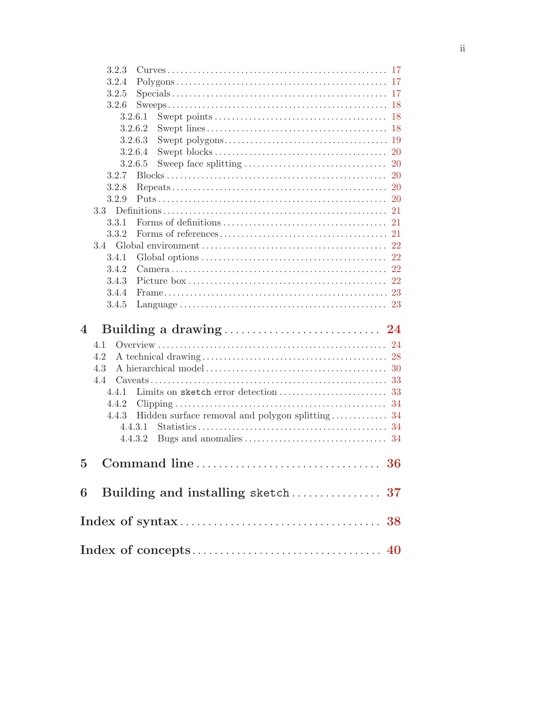| 3.2.3                                                                                                                                  |
|----------------------------------------------------------------------------------------------------------------------------------------|
| 3.2.4<br>17                                                                                                                            |
| 3.2.5<br>$\text{Specials} \dots \dots \dots \dots \dots \dots \dots \dots \dots \dots \dots \dots \dots \dots \dots \dots \dots$<br>17 |
| 3.2.6<br>-18                                                                                                                           |
| 3.2.6.1<br>-18<br>Swept points $\dots \dots \dots \dots \dots \dots \dots \dots \dots \dots \dots \dots$                               |
| 3.2.6.2                                                                                                                                |
| 3.2.6.3                                                                                                                                |
| 3.2.6.4                                                                                                                                |
| 3.2.6.5<br>-20                                                                                                                         |
| 3.2.7<br>20                                                                                                                            |
| 3.2.8                                                                                                                                  |
| 3.2.9<br>20                                                                                                                            |
| 3.3 <sub>z</sub><br>21                                                                                                                 |
| 3.3.1<br>Forms of definitions $\ldots$ $\ldots$ $\ldots$ $\ldots$ $\ldots$ $\ldots$ $\ldots$<br>21                                     |
| 3.3.2<br>21                                                                                                                            |
| 3.4<br>22                                                                                                                              |
| 22<br>3.4.1<br>Global options $\ldots \ldots \ldots \ldots \ldots \ldots \ldots \ldots \ldots \ldots \ldots \ldots$                    |
| 3.4.2<br>22                                                                                                                            |
| 3.4.3<br>22                                                                                                                            |
| 3.4.4                                                                                                                                  |
| 3.4.5                                                                                                                                  |
| 4                                                                                                                                      |
| 4.1<br>-24                                                                                                                             |
| 4.2                                                                                                                                    |
| 4.3                                                                                                                                    |
| 4.4                                                                                                                                    |
| 4.4.1<br>33                                                                                                                            |
| 34<br>4.4.2                                                                                                                            |
| 4.4.3<br>Hidden surface removal and polygon splitting<br>34                                                                            |
| 4.4.3.1                                                                                                                                |
| 4.4.3.2                                                                                                                                |
| $\overline{5}$                                                                                                                         |
|                                                                                                                                        |
| 6                                                                                                                                      |
|                                                                                                                                        |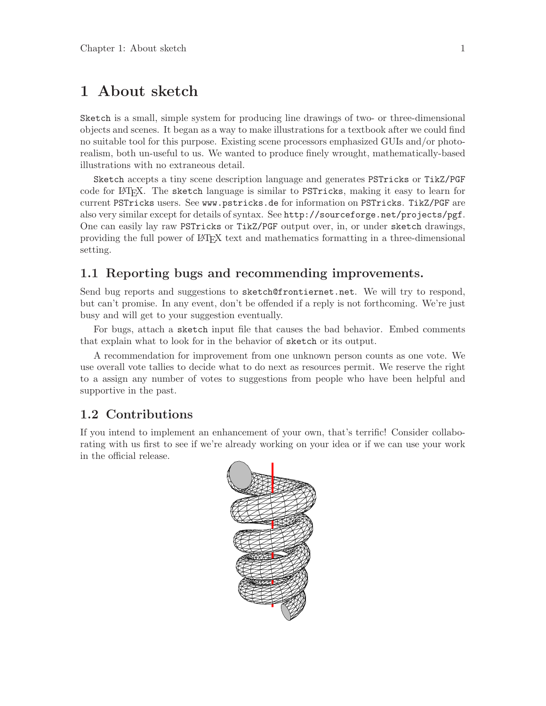# <span id="page-4-0"></span>1 About sketch

Sketch is a small, simple system for producing line drawings of two- or three-dimensional objects and scenes. It began as a way to make illustrations for a textbook after we could find no suitable tool for this purpose. Existing scene processors emphasized GUIs and/or photorealism, both un-useful to us. We wanted to produce finely wrought, mathematically-based illustrations with no extraneous detail.

Sketch accepts a tiny scene description language and generates PSTricks or TikZ/PGF code for LATEX. The sketch language is similar to PSTricks, making it easy to learn for current PSTricks users. See www.pstricks.de for information on PSTricks. TikZ/PGF are also very similar except for details of syntax. See http://sourceforge.net/projects/pgf. One can easily lay raw PSTricks or TikZ/PGF output over, in, or under sketch drawings, providing the full power of LATEX text and mathematics formatting in a three-dimensional setting.

#### 1.1 Reporting bugs and recommending improvements.

Send bug reports and suggestions to sketch@frontiernet.net. We will try to respond, but can't promise. In any event, don't be offended if a reply is not forthcoming. We're just busy and will get to your suggestion eventually.

For bugs, attach a sketch input file that causes the bad behavior. Embed comments that explain what to look for in the behavior of sketch or its output.

A recommendation for improvement from one unknown person counts as one vote. We use overall vote tallies to decide what to do next as resources permit. We reserve the right to a assign any number of votes to suggestions from people who have been helpful and supportive in the past.

#### 1.2 Contributions

<span id="page-4-1"></span>If you intend to implement an enhancement of your own, that's terrific! Consider collaborating with us first to see if we're already working on your idea or if we can use your work in the official release.

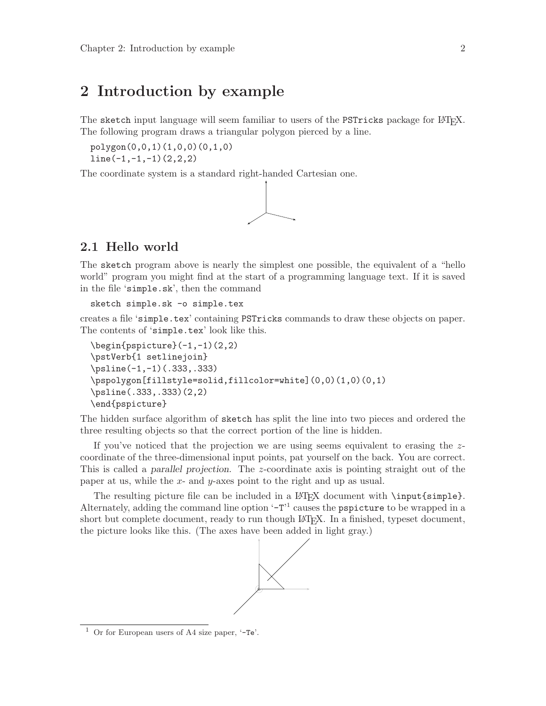# <span id="page-5-0"></span>2 Introduction by example

The sketch input language will seem familiar to users of the PSTricks package for LATEX. The following program draws a triangular polygon pierced by a line.

```
polygon(0,0,1)(1,0,0)(0,1,0)
line(-1,-1,-1)(2,2,2)
```
The coordinate system is a standard right-handed Cartesian one.



### <span id="page-5-1"></span>2.1 Hello world

The sketch program above is nearly the simplest one possible, the equivalent of a "hello world" program you might find at the start of a programming language text. If it is saved in the file 'simple.sk', then the command

```
sketch simple.sk -o simple.tex
```
creates a file 'simple.tex' containing PSTricks commands to draw these objects on paper. The contents of 'simple.tex' look like this.

```
\begin{binatrix} -1, -1 & (2, 2) \end{pmatrix}\pstVerb{1 setlinejoin}
\psline(-1,-1)(.333,.333)
\pspolygon[fillstyle=solid,fillcolor=white](0,0)(1,0)(0,1)
\psline(.333,.333)(2,2)
\end{pspicture}
```
The hidden surface algorithm of sketch has split the line into two pieces and ordered the three resulting objects so that the correct portion of the line is hidden.

If you've noticed that the projection we are using seems equivalent to erasing the zcoordinate of the three-dimensional input points, pat yourself on the back. You are correct. This is called a parallel projection. The z-coordinate axis is pointing straight out of the paper at us, while the x- and y-axes point to the right and up as usual.

The resulting picture file can be included in a LAT<sub>EX</sub> document with \input{simple}. Alternately, adding the command line option '-T<sup>'1</sup> causes the pspicture to be wrapped in a short but complete document, ready to run though LAT<sub>EX</sub>. In a finished, typeset document, the picture looks like this. (The axes have been added in light gray.)



<sup>&</sup>lt;sup>1</sup> Or for European users of A4 size paper,  $-Te$ .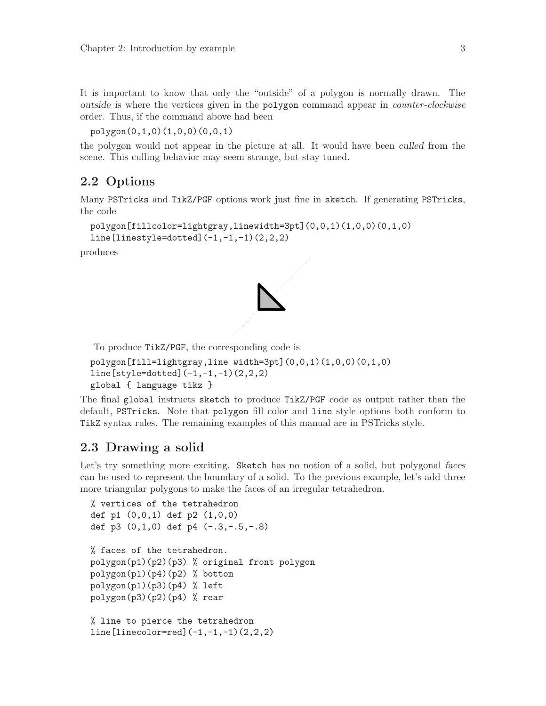<span id="page-6-0"></span>It is important to know that only the "outside" of a polygon is normally drawn. The outside is where the vertices given in the polygon command appear in counter-clockwise order. Thus, if the command above had been

```
polygon(0,1,0)(1,0,0)(0,0,1)
```
the polygon would not appear in the picture at all. It would have been culled from the scene. This culling behavior may seem strange, but stay tuned.

### 2.2 Options

Many PSTricks and TikZ/PGF options work just fine in sketch. If generating PSTricks, the code

```
polygon[fillcolor=lightgray,linewidth=3pt](0,0,1)(1,0,0)(0,1,0)
line[linestyle=dotted](-1,-1,-1)(2,2,2)
```
produces



To produce TikZ/PGF, the corresponding code is

```
polygon[fill=lightgray,line width=3pt](0,0,1)(1,0,0)(0,1,0)
line[style=dotted](-1,-1,-1)(2,2,2)
global { language tikz }
```
The final global instructs sketch to produce TikZ/PGF code as output rather than the default, PSTricks. Note that polygon fill color and line style options both conform to TikZ syntax rules. The remaining examples of this manual are in PSTricks style.

### 2.3 Drawing a solid

Let's try something more exciting. Sketch has no notion of a solid, but polygonal faces can be used to represent the boundary of a solid. To the previous example, let's add three more triangular polygons to make the faces of an irregular tetrahedron.

```
% vertices of the tetrahedron
def p1 (0,0,1) def p2 (1,0,0)
def p3 (0,1,0) def p4 (-.3,-.5,-.8)% faces of the tetrahedron.
polygon(p1)(p2)(p3) % original front polygon
polygon(p1)(p4)(p2) % bottom
polygon(p1)(p3)(p4) % left
polygon(p3)(p2)(p4) % rear
% line to pierce the tetrahedron
line[linecolor=red](-1,-1,-1)(2,2,2)
```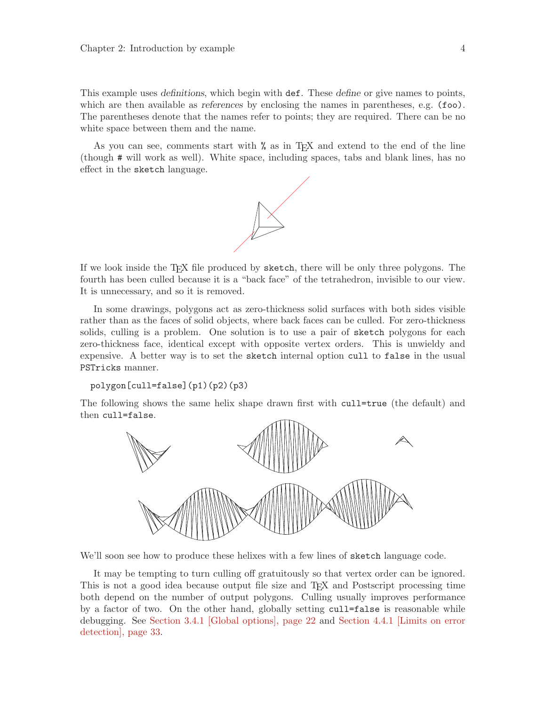<span id="page-7-1"></span>This example uses definitions, which begin with def. These define or give names to points, which are then available as references by enclosing the names in parentheses, e.g. (foo). The parentheses denote that the names refer to points; they are required. There can be no white space between them and the name.

As you can see, comments start with % as in T<sub>EX</sub> and extend to the end of the line (though # will work as well). White space, including spaces, tabs and blank lines, has no effect in the sketch language.



If we look inside the TEX file produced by sketch, there will be only three polygons. The fourth has been culled because it is a "back face" of the tetrahedron, invisible to our view. It is unnecessary, and so it is removed.

In some drawings, polygons act as zero-thickness solid surfaces with both sides visible rather than as the faces of solid objects, where back faces can be culled. For zero-thickness solids, culling is a problem. One solution is to use a pair of sketch polygons for each zero-thickness face, identical except with opposite vertex orders. This is unwieldy and expensive. A better way is to set the sketch internal option cull to false in the usual PSTricks manner.

```
polygon[cull=false](p1)(p2)(p3)
```
The following shows the same helix shape drawn first with cull=true (the default) and then cull=false.

<span id="page-7-0"></span>

We'll soon see how to produce these helixes with a few lines of sketch language code.

It may be tempting to turn culling off gratuitously so that vertex order can be ignored. This is not a good idea because output file size and TEX and Postscript processing time both depend on the number of output polygons. Culling usually improves performance by a factor of two. On the other hand, globally setting cull=false is reasonable while debugging. See [Section 3.4.1 \[Global options\], page 22](#page-25-1) and [Section 4.4.1 \[Limits on error](#page-36-1) [detection\], page 33.](#page-36-1)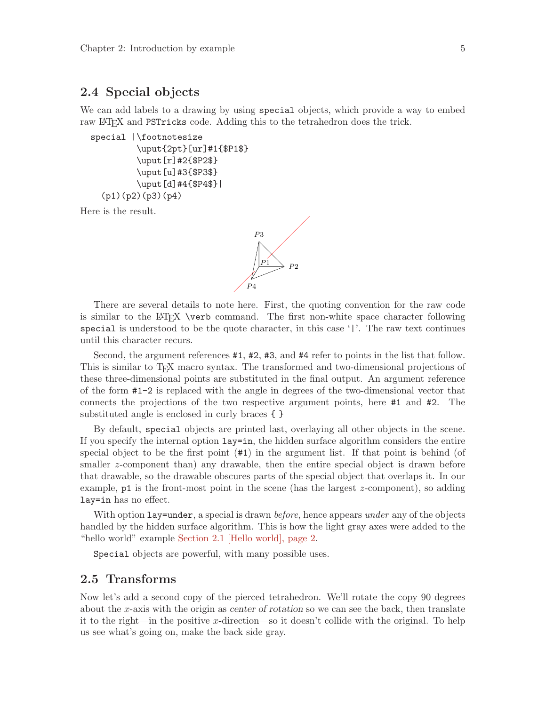#### <span id="page-8-0"></span>2.4 Special objects

We can add labels to a drawing by using special objects, which provide a way to embed raw LATEX and PSTricks code. Adding this to the tetrahedron does the trick.

```
special |\footnotesize
         \uput{2pt}[ur]#1{$P1$}
         \uput[r]#2{$P2$}
         \uput[u]#3{$P3$}
         \uput[d]#4{$P4$}|
  (p1)(p2)(p3)(p4)
```
Here is the result.



There are several details to note here. First, the quoting convention for the raw code is similar to the LATEX \verb command. The first non-white space character following special is understood to be the quote character, in this case '|'. The raw text continues until this character recurs.

Second, the argument references #1, #2, #3, and #4 refer to points in the list that follow. This is similar to TEX macro syntax. The transformed and two-dimensional projections of these three-dimensional points are substituted in the final output. An argument reference of the form #1-2 is replaced with the angle in degrees of the two-dimensional vector that connects the projections of the two respective argument points, here #1 and #2. The substituted angle is enclosed in curly braces { }

By default, special objects are printed last, overlaying all other objects in the scene. If you specify the internal option lay=in, the hidden surface algorithm considers the entire special object to be the first point (#1) in the argument list. If that point is behind (of smaller z-component than) any drawable, then the entire special object is drawn before that drawable, so the drawable obscures parts of the special object that overlaps it. In our example,  $p1$  is the front-most point in the scene (has the largest z-component), so adding lay=in has no effect.

With option lay=under, a special is drawn *before*, hence appears *under* any of the objects handled by the hidden surface algorithm. This is how the light gray axes were added to the "hello world" example [Section 2.1 \[Hello world\], page 2.](#page-5-1)

Special objects are powerful, with many possible uses.

#### 2.5 Transforms

Now let's add a second copy of the pierced tetrahedron. We'll rotate the copy 90 degrees about the x-axis with the origin as center of rotation so we can see the back, then translate it to the right—in the positive x-direction—so it doesn't collide with the original. To help us see what's going on, make the back side gray.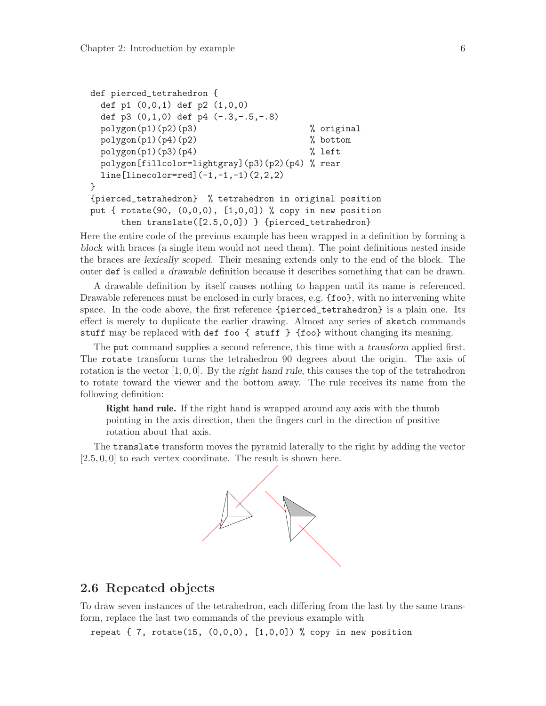```
def pierced_tetrahedron {
 def p1 (0,0,1) def p2 (1,0,0)
 def p3 (0,1,0) def p4 (-.3,-.5,-.8)polygon(p1)(p2)(p3) % original
 polygon(p1)(p4)(p2) % bottom
 polygon(p1)(p3)(p4) % left
 polygon[fillcolor=lightgray](p3)(p2)(p4) % rear
 line[linecolor=red](-1,-1,-1)(2,2,2)
}
{pierced_tetrahedron} % tetrahedron in original position
put { rotate(90, (0,0,0), [1,0,0]) % copy in new position
     then translate([2.5,0,0]) } {pierced_tetrahedron}
```
Here the entire code of the previous example has been wrapped in a definition by forming a block with braces (a single item would not need them). The point definitions nested inside the braces are lexically scoped. Their meaning extends only to the end of the block. The outer def is called a drawable definition because it describes something that can be drawn.

A drawable definition by itself causes nothing to happen until its name is referenced. Drawable references must be enclosed in curly braces, e.g.  $\{\text{foo}\}$ , with no intervening white space. In the code above, the first reference {pierced\_tetrahedron} is a plain one. Its effect is merely to duplicate the earlier drawing. Almost any series of sketch commands stuff may be replaced with def foo { stuff } {foo} without changing its meaning.

The put command supplies a second reference, this time with a transform applied first. The rotate transform turns the tetrahedron 90 degrees about the origin. The axis of rotation is the vector  $[1, 0, 0]$ . By the right hand rule, this causes the top of the tetrahedron to rotate toward the viewer and the bottom away. The rule receives its name from the following definition:

<span id="page-9-1"></span>Right hand rule. If the right hand is wrapped around any axis with the thumb pointing in the axis direction, then the fingers curl in the direction of positive rotation about that axis.

The translate transform moves the pyramid laterally to the right by adding the vector  $[2.5, 0, 0]$  to each vertex coordinate. The result is shown here.



#### 2.6 Repeated objects

To draw seven instances of the tetrahedron, each differing from the last by the same transform, replace the last two commands of the previous example with

repeat  $\{ 7, \text{ rotate}(15, (0,0,0), [1,0,0]) \}$  copy in new position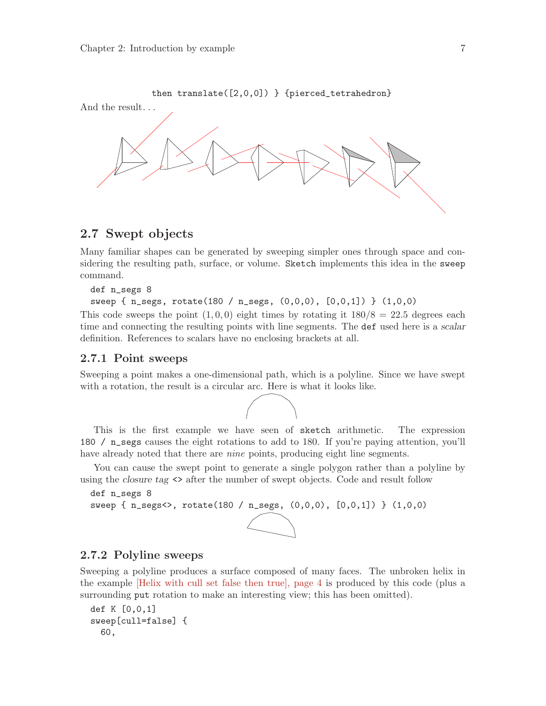<span id="page-10-0"></span>

#### 2.7 Swept objects

Many familiar shapes can be generated by sweeping simpler ones through space and considering the resulting path, surface, or volume. Sketch implements this idea in the sweep command.

```
def n_segs 8
sweep { n_segs, rotate(180 / n_segs, (0,0,0), [0,0,1]) } (1,0,0)
```
This code sweeps the point  $(1, 0, 0)$  eight times by rotating it  $180/8 = 22.5$  degrees each time and connecting the resulting points with line segments. The def used here is a scalar definition. References to scalars have no enclosing brackets at all.

#### 2.7.1 Point sweeps

Sweeping a point makes a one-dimensional path, which is a polyline. Since we have swept with a rotation, the result is a circular arc. Here is what it looks like.



This is the first example we have seen of sketch arithmetic. The expression 180 / n\_segs causes the eight rotations to add to 180. If you're paying attention, you'll have already noted that there are *nine* points, producing eight line segments.

You can cause the swept point to generate a single polygon rather than a polyline by using the closure tag <> after the number of swept objects. Code and result follow

```
def n_segs 8
sweep { n_segs<>, rotate(180 / n_segs, (0,0,0), [0,0,1]) } (1,0,0)
```
#### 2.7.2 Polyline sweeps

Sweeping a polyline produces a surface composed of many faces. The unbroken helix in the example [\[Helix with cull set false then true\], page 4](#page-7-0) is produced by this code (plus a surrounding put rotation to make an interesting view; this has been omitted).

```
def K [0,0,1]
sweep[cull=false] {
  60,
```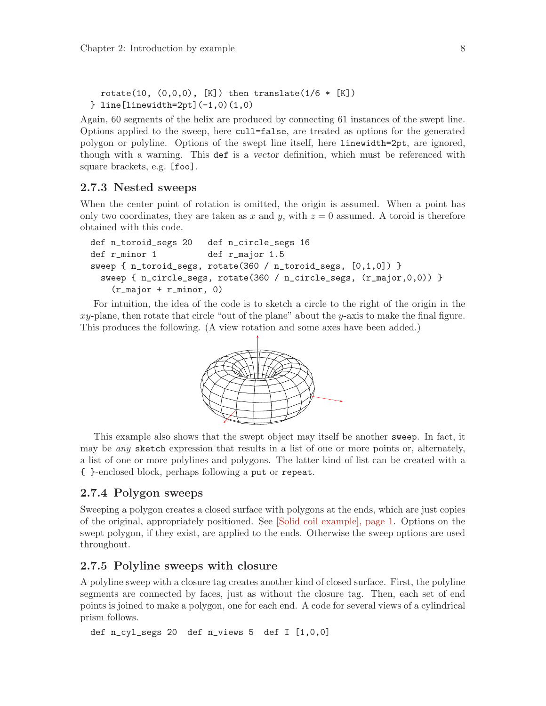```
rotate(10, (0,0,0), [K]) then translate(1/6 * [K])} line[linewidth=2pt](-1,0)(1,0)
```
Again, 60 segments of the helix are produced by connecting 61 instances of the swept line. Options applied to the sweep, here cull=false, are treated as options for the generated polygon or polyline. Options of the swept line itself, here linewidth=2pt, are ignored, though with a warning. This def is a vector definition, which must be referenced with square brackets, e.g. [foo].

#### 2.7.3 Nested sweeps

When the center point of rotation is omitted, the origin is assumed. When a point has only two coordinates, they are taken as x and y, with  $z = 0$  assumed. A toroid is therefore obtained with this code.

```
def n_toroid_segs 20 def n_circle_segs 16
def r_minor 1 def r_major 1.5
sweep \{ n_toroid_segs, rotate(360 / n_toroid_segs, [0,1,0]) }
 sweep { n_circle_segs, rotate(360 / n_circle_segs, (r_major,0,0)) }
    (r_major + r_minor, 0)
```
For intuition, the idea of the code is to sketch a circle to the right of the origin in the  $xy$ -plane, then rotate that circle "out of the plane" about the y-axis to make the final figure. This produces the following. (A view rotation and some axes have been added.)



This example also shows that the swept object may itself be another sweep. In fact, it may be *any* sketch expression that results in a list of one or more points or, alternately, a list of one or more polylines and polygons. The latter kind of list can be created with a { }-enclosed block, perhaps following a put or repeat.

#### 2.7.4 Polygon sweeps

Sweeping a polygon creates a closed surface with polygons at the ends, which are just copies of the original, appropriately positioned. See [\[Solid coil example\], page 1](#page-4-1). Options on the swept polygon, if they exist, are applied to the ends. Otherwise the sweep options are used throughout.

#### 2.7.5 Polyline sweeps with closure

A polyline sweep with a closure tag creates another kind of closed surface. First, the polyline segments are connected by faces, just as without the closure tag. Then, each set of end points is joined to make a polygon, one for each end. A code for several views of a cylindrical prism follows.

```
def n_cyl_segs 20 def n_views 5 def I [1,0,0]
```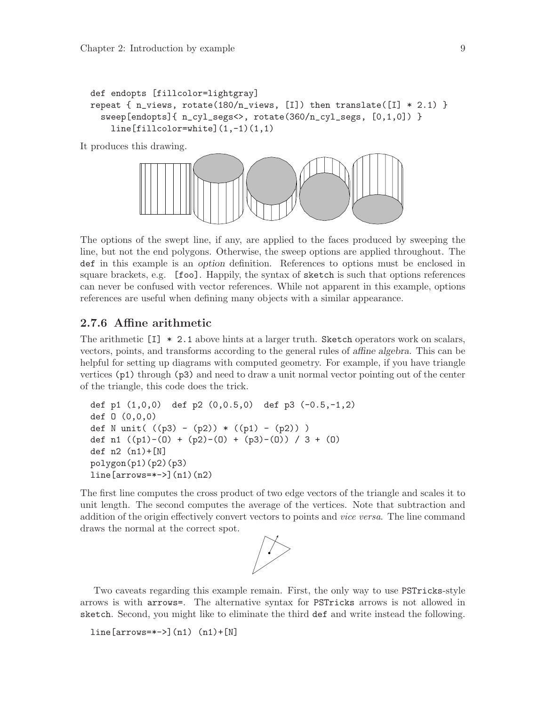```
def endopts [fillcolor=lightgray]
repeat { n_views, rotate(180/n_views, [I]) then translate([I] * 2.1) }
 sweep[endopts]{ n_cyl_segs<>, rotate(360/n_cyl_segs, [0,1,0]) }
    line[fillcolor=white](1,-1)(1,1)
```
It produces this drawing.



The options of the swept line, if any, are applied to the faces produced by sweeping the line, but not the end polygons. Otherwise, the sweep options are applied throughout. The def in this example is an option definition. References to options must be enclosed in square brackets, e.g. [foo]. Happily, the syntax of sketch is such that options references can never be confused with vector references. While not apparent in this example, options references are useful when defining many objects with a similar appearance.

#### 2.7.6 Affine arithmetic

The arithmetic [I] \* 2.1 above hints at a larger truth. Sketch operators work on scalars, vectors, points, and transforms according to the general rules of affine algebra. This can be helpful for setting up diagrams with computed geometry. For example, if you have triangle vertices (p1) through (p3) and need to draw a unit normal vector pointing out of the center of the triangle, this code does the trick.

```
def p1 (1,0,0) def p2 (0,0.5,0) def p3 (-0.5,-1,2)
def O (0,0,0)
def N unit( ((p3) - (p2)) * ((p1) - (p2)) )def n1 ((p1)-(0) + (p2)-(0) + (p3)-(0)) / 3 + (0)def n2 (n1)+[N]
polygon(p1)(p2)(p3)
line[arrows=*->[n1)(n2)]
```
The first line computes the cross product of two edge vectors of the triangle and scales it to unit length. The second computes the average of the vertices. Note that subtraction and addition of the origin effectively convert vectors to points and *vice versa*. The line command draws the normal at the correct spot.



Two caveats regarding this example remain. First, the only way to use PSTricks-style arrows is with arrows=. The alternative syntax for PSTricks arrows is not allowed in sketch. Second, you might like to eliminate the third def and write instead the following.

```
line[arrows=+-][n1) (n1)+[N]
```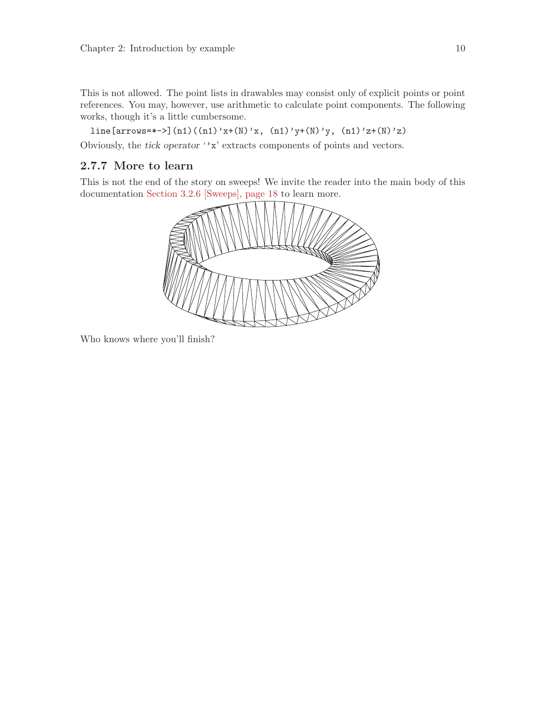<span id="page-13-0"></span>This is not allowed. The point lists in drawables may consist only of explicit points or point references. You may, however, use arithmetic to calculate point components. The following works, though it's a little cumbersome.

line[arrows=\*->](n1)((n1)'x+(N)'x, (n1)'y+(N)'y, (n1)'z+(N)'z)

Obviously, the tick operator ''x' extracts components of points and vectors.

### <span id="page-13-1"></span>2.7.7 More to learn

This is not the end of the story on sweeps! We invite the reader into the main body of this documentation [Section 3.2.6 \[Sweeps\], page 18](#page-21-1) to learn more.



Who knows where you'll finish?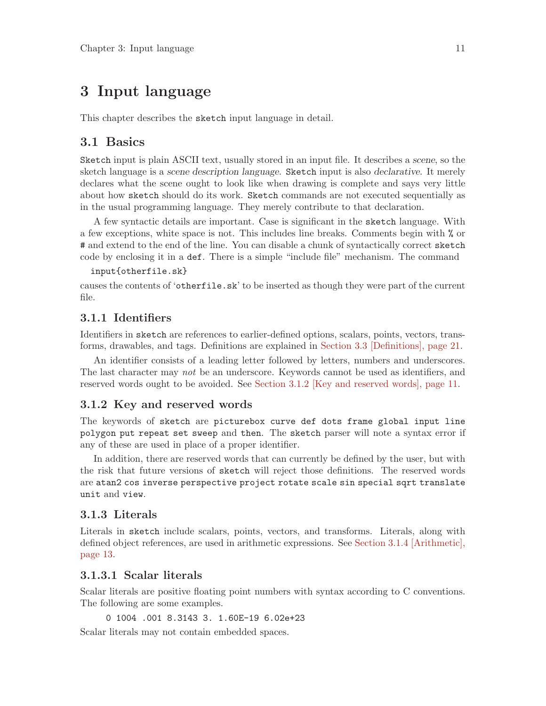# <span id="page-14-0"></span>3 Input language

This chapter describes the sketch input language in detail.

### 3.1 Basics

Sketch input is plain ASCII text, usually stored in an input file. It describes a scene, so the sketch language is a scene description language. Sketch input is also declarative. It merely declares what the scene ought to look like when drawing is complete and says very little about how sketch should do its work. Sketch commands are not executed sequentially as in the usual programming language. They merely contribute to that declaration.

A few syntactic details are important. Case is significant in the sketch language. With a few exceptions, white space is not. This includes line breaks. Comments begin with % or # and extend to the end of the line. You can disable a chunk of syntactically correct sketch code by enclosing it in a def. There is a simple "include file" mechanism. The command

#### input{otherfile.sk}

causes the contents of 'otherfile.sk' to be inserted as though they were part of the current file.

### 3.1.1 Identifiers

Identifiers in sketch are references to earlier-defined options, scalars, points, vectors, transforms, drawables, and tags. Definitions are explained in [Section 3.3 \[Definitions\], page 21](#page-24-0).

An identifier consists of a leading letter followed by letters, numbers and underscores. The last character may not be an underscore. Keywords cannot be used as identifiers, and reserved words ought to be avoided. See [Section 3.1.2 \[Key and reserved words\], page 11](#page-14-1).

### <span id="page-14-1"></span>3.1.2 Key and reserved words

The keywords of sketch are picturebox curve def dots frame global input line polygon put repeat set sweep and then. The sketch parser will note a syntax error if any of these are used in place of a proper identifier.

In addition, there are reserved words that can currently be defined by the user, but with the risk that future versions of sketch will reject those definitions. The reserved words are atan2 cos inverse perspective project rotate scale sin special sqrt translate unit and view.

#### 3.1.3 Literals

Literals in sketch include scalars, points, vectors, and transforms. Literals, along with defined object references, are used in arithmetic expressions. See [Section 3.1.4 \[Arithmetic\],](#page-16-1) [page 13](#page-16-1).

#### 3.1.3.1 Scalar literals

Scalar literals are positive floating point numbers with syntax according to C conventions. The following are some examples.

0 1004 .001 8.3143 3. 1.60E-19 6.02e+23

Scalar literals may not contain embedded spaces.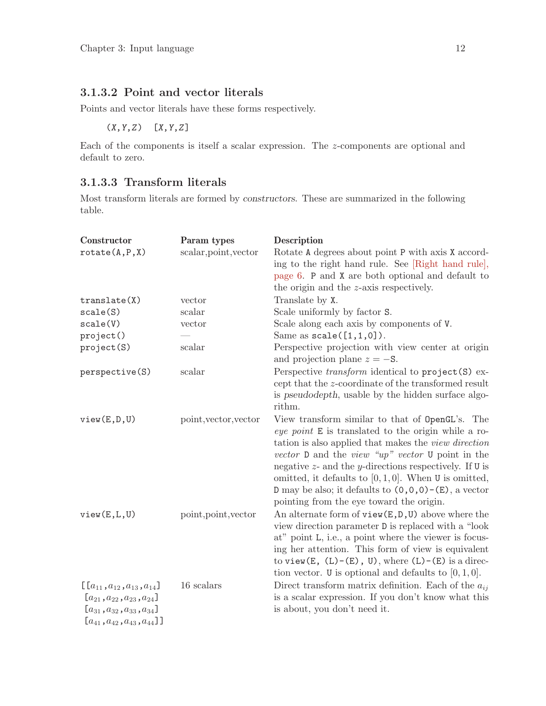### <span id="page-15-0"></span>3.1.3.2 Point and vector literals

Points and vector literals have these forms respectively.

(X,Y,Z) [X,Y,Z]

Each of the components is itself a scalar expression. The z-components are optional and default to zero.

### <span id="page-15-1"></span>3.1.3.3 Transform literals

Most transform literals are formed by constructors. These are summarized in the following table.

| Constructor                                                                                                                                                           | Param types           | Description                                                                                                                                                                                                                                                                                                                                                                                                                                               |
|-----------------------------------------------------------------------------------------------------------------------------------------------------------------------|-----------------------|-----------------------------------------------------------------------------------------------------------------------------------------------------------------------------------------------------------------------------------------------------------------------------------------------------------------------------------------------------------------------------------------------------------------------------------------------------------|
| rotate(A, P, X)                                                                                                                                                       | scalar, point, vector | Rotate A degrees about point P with axis X accord-<br>ing to the right hand rule. See [Right hand rule],                                                                                                                                                                                                                                                                                                                                                  |
|                                                                                                                                                                       |                       | page 6. P and X are both optional and default to                                                                                                                                                                                                                                                                                                                                                                                                          |
|                                                                                                                                                                       |                       | the origin and the <i>z</i> -axis respectively.                                                                                                                                                                                                                                                                                                                                                                                                           |
| translate(X)                                                                                                                                                          | vector                | Translate by X.                                                                                                                                                                                                                                                                                                                                                                                                                                           |
| scale(S)                                                                                                                                                              | scalar                | Scale uniformly by factor S.                                                                                                                                                                                                                                                                                                                                                                                                                              |
| scale(V)                                                                                                                                                              | vector                | Scale along each axis by components of V.                                                                                                                                                                                                                                                                                                                                                                                                                 |
| project()                                                                                                                                                             |                       | Same as $scale([1,1,0])$ .                                                                                                                                                                                                                                                                                                                                                                                                                                |
| project(S)                                                                                                                                                            | scalar                | Perspective projection with view center at origin<br>and projection plane $z = -S$ .                                                                                                                                                                                                                                                                                                                                                                      |
| perspective(S)                                                                                                                                                        | scalar                | Perspective transform identical to project (S) ex-<br>cept that the z-coordinate of the transformed result<br>is pseudodepth, usable by the hidden surface algo-<br>rithm.                                                                                                                                                                                                                                                                                |
| view(E,D,U)                                                                                                                                                           | point, vector, vector | View transform similar to that of OpenGL's. The<br>eye point E is translated to the origin while a ro-<br>tation is also applied that makes the view direction<br>vector $D$ and the view "up" vector $U$ point in the<br>negative $z$ - and the y-directions respectively. If $U$ is<br>omitted, it defaults to $[0,1,0]$ . When U is omitted,<br>D may be also; it defaults to $(0,0,0)$ – $(E)$ , a vector<br>pointing from the eye toward the origin. |
| view(E, L, U)                                                                                                                                                         | point, point, vector  | An alternate form of $view(E,D,U)$ above where the<br>view direction parameter D is replaced with a "look"<br>at" point L, i.e., a point where the viewer is focus-<br>ing her attention. This form of view is equivalent<br>to view $(E, (L) - (E), U)$ , where $(L) - (E)$ is a direc-<br>tion vector. U is optional and defaults to $[0, 1, 0]$ .                                                                                                      |
| $\left[ [a_{11}, a_{12}, a_{13}, a_{14}] \right]$<br>$[a_{21}, a_{22}, a_{23}, a_{24}]$<br>$[a_{31}, a_{32}, a_{33}, a_{34}]$<br>$[a_{41}, a_{42}, a_{43}, a_{44}]$ ] | 16 scalars            | Direct transform matrix definition. Each of the $a_{ij}$<br>is a scalar expression. If you don't know what this<br>is about, you don't need it.                                                                                                                                                                                                                                                                                                           |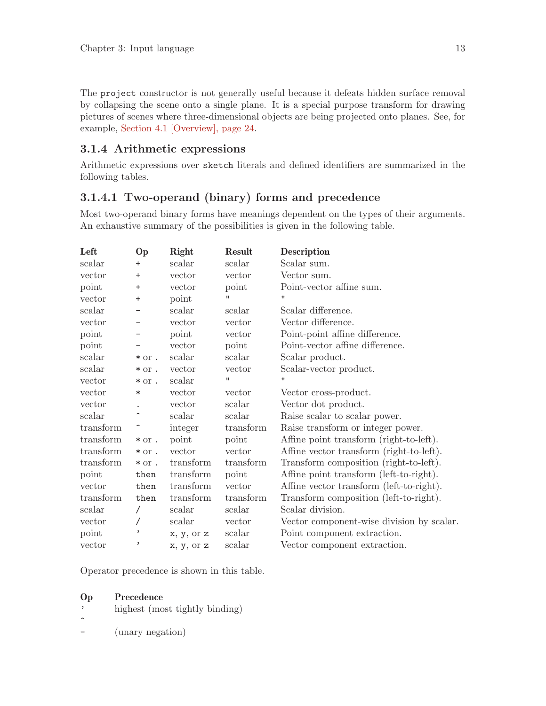<span id="page-16-0"></span>The project constructor is not generally useful because it defeats hidden surface removal by collapsing the scene onto a single plane. It is a special purpose transform for drawing pictures of scenes where three-dimensional objects are being projected onto planes. See, for example, [Section 4.1 \[Overview\], page 24](#page-27-1).

### <span id="page-16-1"></span>3.1.4 Arithmetic expressions

Arithmetic expressions over sketch literals and defined identifiers are summarized in the following tables.

### 3.1.4.1 Two-operand (binary) forms and precedence

Most two-operand binary forms have meanings dependent on the types of their arguments. An exhaustive summary of the possibilities is given in the following table.

| Left      | <b>Op</b>                | Right      | Result         | Description                               |
|-----------|--------------------------|------------|----------------|-------------------------------------------|
| scalar    | $\ddot{}$                | scalar     | scalar         | Scalar sum.                               |
| vector    | $\ddot{}$                | vector     | vector         | Vector sum.                               |
| point     | $\ddot{}$                | vector     | point          | Point-vector affine sum.                  |
| vector    | $\ddot{}$                | point      | п              | п                                         |
| scalar    |                          | scalar     | scalar         | Scalar difference.                        |
| vector    |                          | vector     | vector         | Vector difference.                        |
| point     |                          | point      | vector         | Point-point affine difference.            |
| point     |                          | vector     | point          | Point-vector affine difference.           |
| scalar    | $*$ or .                 | scalar     | scalar         | Scalar product.                           |
| scalar    | $*$ or .                 | vector     | vector         | Scalar-vector product.                    |
| vector    | $*$ or .                 | scalar     | $\blacksquare$ | Ħ                                         |
| vector    | ∗                        | vector     | vector         | Vector cross-product.                     |
| vector    |                          | vector     | scalar         | Vector dot product.                       |
| scalar    | ∼                        | scalar     | scalar         | Raise scalar to scalar power.             |
| transform |                          | integer    | transform      | Raise transform or integer power.         |
| transform | $*$ or .                 | point      | point          | Affine point transform (right-to-left).   |
| transform | $*$ or .                 | vector     | vector         | Affine vector transform (right-to-left).  |
| transform | $*$ or .                 | transform  | transform      | Transform composition (right-to-left).    |
| point     | then                     | transform  | point          | Affine point transform (left-to-right).   |
| vector    | then                     | transform  | vector         | Affine vector transform (left-to-right).  |
| transform | then                     | transform  | transform      | Transform composition (left-to-right).    |
| scalar    |                          | scalar     | scalar         | Scalar division.                          |
| vector    |                          | scalar     | vector         | Vector component-wise division by scalar. |
| point     | $\overline{\phantom{a}}$ | x, y, or z | scalar         | Point component extraction.               |
| vector    | ,                        | x, y, or z | scalar         | Vector component extraction.              |

Operator precedence is shown in this table.

- highest (most tightly binding)
- $\hat{ }$
- (unary negation)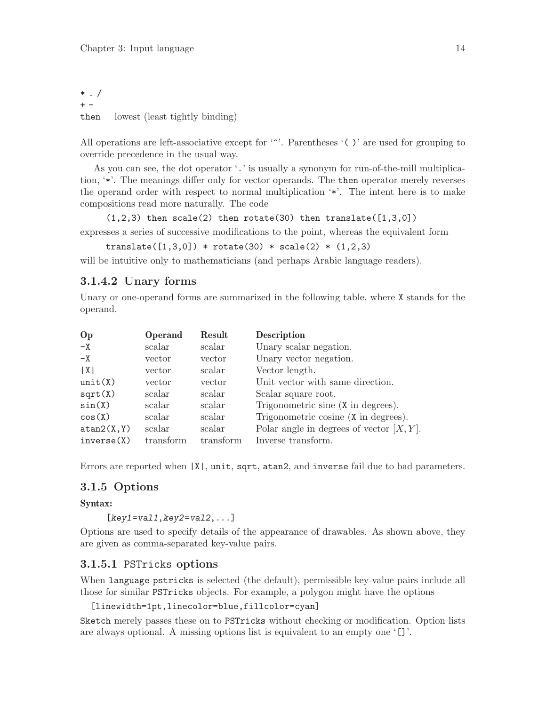<span id="page-17-0"></span> $*$  . /  $+$ then lowest (least tightly binding)

All operations are left-associative except for '<sup>\*</sup>'. Parentheses '( )' are used for grouping to override precedence in the usual way.

As you can see, the dot operator '.' is usually a synonym for run-of-the-mill multiplication, '\*'. The meanings differ only for vector operands. The then operator merely reverses the operand order with respect to normal multiplication '\*'. The intent here is to make compositions read more naturally. The code

 $(1,2,3)$  then scale(2) then rotate(30) then translate( $[1,3,0]$ )

expresses a series of successive modifications to the point, whereas the equivalent form

translate( $[1,3,0]$ ) \* rotate(30) \* scale(2) \*  $(1,2,3)$ 

will be intuitive only to mathematicians (and perhaps Arabic language readers).

#### 3.1.4.2 Unary forms

Unary or one-operand forms are summarized in the following table, where X stands for the operand.

| Op          | <b>Operand</b> | Result    | Description                                 |
|-------------|----------------|-----------|---------------------------------------------|
| $-X$        | scalar         | scalar    | Unary scalar negation.                      |
| $-X$        | vector         | vector    | Unary vector negation.                      |
| X           | vector         | scalar    | Vector length.                              |
| unit(X)     | vector         | vector    | Unit vector with same direction.            |
| sqrt(X)     | scalar         | scalar    | Scalar square root.                         |
| sin(X)      | scalar         | scalar    | Trigonometric sine (X in degrees).          |
| cos(X)      | scalar         | scalar    | Trigonometric cosine (X in degrees).        |
| atan2(X, Y) | scalar         | scalar    | Polar angle in degrees of vector $[X, Y]$ . |
| inverse(X)  | transform      | transform | Inverse transform.                          |

Errors are reported when  $|X|$ , unit, sqrt, atan2, and inverse fail due to bad parameters.

#### 3.1.5 Options

#### Syntax:

 $[key1=val1,key2=val2,...]$ 

Options are used to specify details of the appearance of drawables. As shown above, they are given as comma-separated key-value pairs.

#### 3.1.5.1 PSTricks options

When language pstricks is selected (the default), permissible key-value pairs include all those for similar PSTricks objects. For example, a polygon might have the options

[linewidth=1pt,linecolor=blue,fillcolor=cyan]

Sketch merely passes these on to PSTricks without checking or modification. Option lists are always optional. A missing options list is equivalent to an empty one '[]'.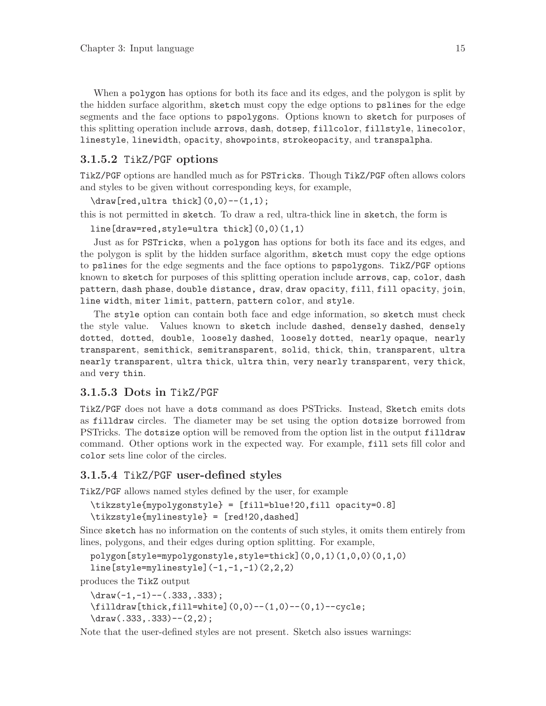<span id="page-18-0"></span>When a polygon has options for both its face and its edges, and the polygon is split by the hidden surface algorithm, sketch must copy the edge options to pslines for the edge segments and the face options to pspolygons. Options known to sketch for purposes of this splitting operation include arrows, dash, dotsep, fillcolor, fillstyle, linecolor, linestyle, linewidth, opacity, showpoints, strokeopacity, and transpalpha.

#### 3.1.5.2 TikZ/PGF options

TikZ/PGF options are handled much as for PSTricks. Though TikZ/PGF often allows colors and styles to be given without corresponding keys, for example,

 $\d$ raw[red,ultra thick] $(0,0)$  -- $(1,1)$ ;

this is not permitted in sketch. To draw a red, ultra-thick line in sketch, the form is

line[draw=red,style=ultra thick](0,0)(1,1)

Just as for PSTricks, when a polygon has options for both its face and its edges, and the polygon is split by the hidden surface algorithm, sketch must copy the edge options to pslines for the edge segments and the face options to pspolygons. TikZ/PGF options known to sketch for purposes of this splitting operation include arrows, cap, color, dash pattern, dash phase, double distance, draw, draw opacity, fill, fill opacity, join, line width, miter limit, pattern, pattern color, and style.

The style option can contain both face and edge information, so sketch must check the style value. Values known to sketch include dashed, densely dashed, densely dotted, dotted, double, loosely dashed, loosely dotted, nearly opaque, nearly transparent, semithick, semitransparent, solid, thick, thin, transparent, ultra nearly transparent, ultra thick, ultra thin, very nearly transparent, very thick, and very thin.

#### 3.1.5.3 Dots in TikZ/PGF

TikZ/PGF does not have a dots command as does PSTricks. Instead, Sketch emits dots as filldraw circles. The diameter may be set using the option dotsize borrowed from PSTricks. The dotsize option will be removed from the option list in the output filldraw command. Other options work in the expected way. For example, fill sets fill color and color sets line color of the circles.

#### 3.1.5.4 TikZ/PGF user-defined styles

TikZ/PGF allows named styles defined by the user, for example

```
\tikzstyle{mypolygonstyle} = [fill=blue!20,fill opacity=0.8]
\tikzstyle{mylinestyle} = [red!20,dashed]
```
Since sketch has no information on the contents of such styles, it omits them entirely from lines, polygons, and their edges during option splitting. For example,

```
polygon[style=mypolygonstyle,style=thick](0,0,1)(1,0,0)(0,1,0)
```

```
line[style=mylinestyle](-1,-1,-1)(2,2,2)
```
produces the TikZ output

```
\frac{-1,-1)--(.333,.333)};
```

```
\tilde{\tilde{\theta}}(0,0)-(1,0)-(0,1)-\tilde{\theta};
```

```
\draw(.333, .333) --(2, 2);
```
Note that the user-defined styles are not present. Sketch also issues warnings: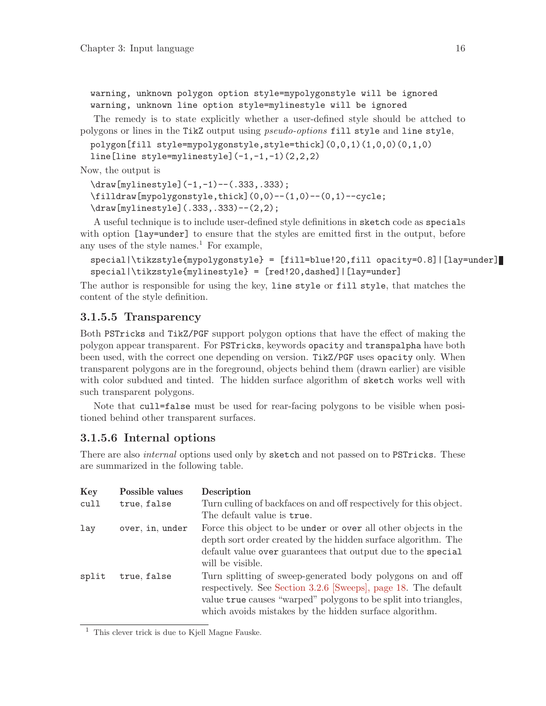<span id="page-19-0"></span>warning, unknown polygon option style=mypolygonstyle will be ignored warning, unknown line option style=mylinestyle will be ignored

The remedy is to state explicitly whether a user-defined style should be attched to polygons or lines in the TikZ output using pseudo-options fill style and line style,

```
polygon[fill style=mypolygonstyle,style=thick](0,0,1)(1,0,0)(0,1,0)
```
line[line style=mylinestyle](-1,-1,-1)(2,2,2)

Now, the output is

```
\draw[mylinestyle](-1,-1)--(.333,.333);
\filldraw[mypolygonstyle,thick](0,0)--(1,0)--(0,1)--cycle;
\draw[mylinestyle](.333,.333)--(2,2);
```
A useful technique is to include user-defined style definitions in sketch code as specials with option [lay=under] to ensure that the styles are emitted first in the output, before any uses of the style names.<sup>1</sup> For example,

```
special|\tikzstyle{mypolygonstyle} = [fill=blue!20,fill opacity=0.8]|[lay=under]
special|\tikzstyle{mylinestyle} = [red!20,dashed]|[lay=under]
```
The author is responsible for using the key, line style or fill style, that matches the content of the style definition.

### 3.1.5.5 Transparency

Both PSTricks and TikZ/PGF support polygon options that have the effect of making the polygon appear transparent. For PSTricks, keywords opacity and transpalpha have both been used, with the correct one depending on version. TikZ/PGF uses opacity only. When transparent polygons are in the foreground, objects behind them (drawn earlier) are visible with color subdued and tinted. The hidden surface algorithm of sketch works well with such transparent polygons.

Note that cull=false must be used for rear-facing polygons to be visible when positioned behind other transparent surfaces.

#### <span id="page-19-1"></span>3.1.5.6 Internal options

There are also *internal* options used only by sketch and not passed on to PSTricks. These are summarized in the following table.

| Key   | Possible values | Description                                                                                                                                                                                                                                               |
|-------|-----------------|-----------------------------------------------------------------------------------------------------------------------------------------------------------------------------------------------------------------------------------------------------------|
| cull  | true, false     | Turn culling of backfaces on and off respectively for this object.                                                                                                                                                                                        |
|       |                 | The default value is true.                                                                                                                                                                                                                                |
| lay   | over, in, under | Force this object to be under or over all other objects in the<br>depth sort order created by the hidden surface algorithm. The<br>default value over guarantees that output due to the special<br>will be visible.                                       |
| split | true, false     | Turn splitting of sweep-generated body polygons on and off<br>respectively. See Section 3.2.6 [Sweeps], page 18. The default<br>value true causes "warped" polygons to be split into triangles,<br>which avoids mistakes by the hidden surface algorithm. |

<sup>1</sup> This clever trick is due to Kjell Magne Fauske.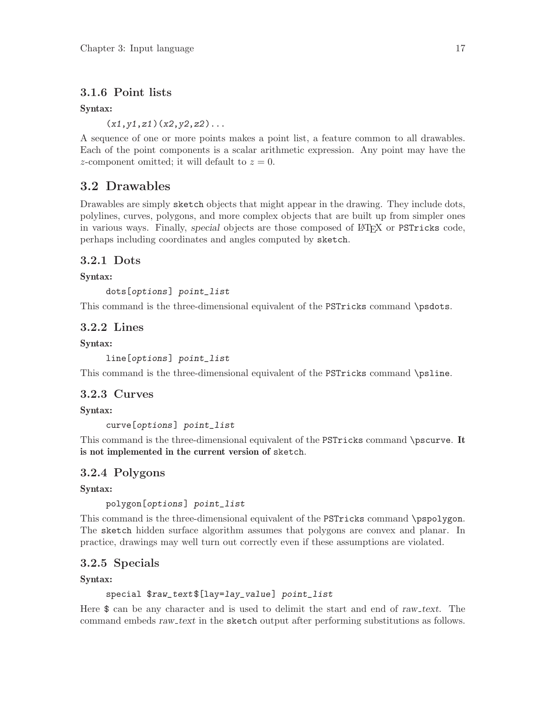### <span id="page-20-0"></span>3.1.6 Point lists

#### Syntax:

 $(x1, y1, z1)(x2, y2, z2)$ ...

A sequence of one or more points makes a point list, a feature common to all drawables. Each of the point components is a scalar arithmetic expression. Any point may have the z-component omitted; it will default to  $z = 0$ .

### 3.2 Drawables

Drawables are simply sketch objects that might appear in the drawing. They include dots, polylines, curves, polygons, and more complex objects that are built up from simpler ones in various ways. Finally, special objects are those composed of LAT<sub>EX</sub> or PSTricks code, perhaps including coordinates and angles computed by sketch.

### 3.2.1 Dots

#### Syntax:

dots[options] point\_list

This command is the three-dimensional equivalent of the PSTricks command \psdots.

#### 3.2.2 Lines

#### Syntax:

line[options] point\_list

This command is the three-dimensional equivalent of the PSTricks command \psline.

### 3.2.3 Curves

Syntax:

curve[options] point\_list

This command is the three-dimensional equivalent of the PSTricks command \pscurve. It is not implemented in the current version of sketch.

### 3.2.4 Polygons

Syntax:

polygon[options] point\_list

This command is the three-dimensional equivalent of the PSTricks command \pspolygon. The sketch hidden surface algorithm assumes that polygons are convex and planar. In practice, drawings may well turn out correctly even if these assumptions are violated.

### 3.2.5 Specials

Syntax:

#### special \$raw\_text\$[lay=lay\_value] point\_list

Here  $\$  can be any character and is used to delimit the start and end of raw text. The command embeds raw\_text in the sketch output after performing substitutions as follows.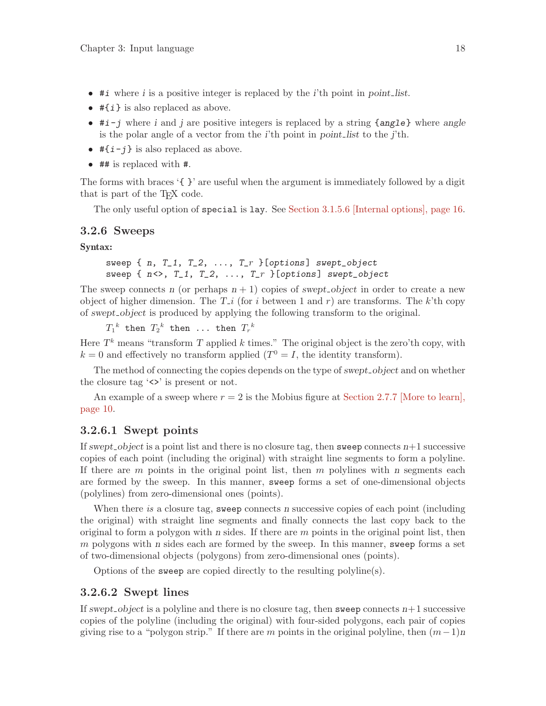- <span id="page-21-0"></span>• #*i* where *i* is a positive integer is replaced by the *i*'th point in point-list.
- $\# \{i\}$  is also replaced as above.
- $\bullet$  #i-j where i and j are positive integers is replaced by a string {angle} where angle is the polar angle of a vector from the i'th point in point list to the j'th.
- $\sharp \{i-j\}$  is also replaced as above.
- ## is replaced with #.

The forms with braces '{ }' are useful when the argument is immediately followed by a digit that is part of the T<sub>E</sub>X code.

The only useful option of special is lay. See [Section 3.1.5.6 \[Internal options\], page 16.](#page-19-1)

#### <span id="page-21-1"></span>3.2.6 Sweeps

Syntax:

```
sweep \{ n, T_1, T_2, \ldots, T_r \} [options] swept_object
sweep \{ n \ll 2, T_1, T_2, \ldots, T_r \} [options] swept_object
```
The sweep connects n (or perhaps  $n + 1$ ) copies of swept-object in order to create a new object of higher dimension. The  $T_i$  (for i between 1 and r) are transforms. The k'th copy of swept object is produced by applying the following transform to the original.

 $T_1{}^k$  then  $T_2{}^k$  then  $\ldots$  then  $T_r{}^k$ 

Here  $T<sup>k</sup>$  means "transform T applied k times." The original object is the zero'th copy, with  $k = 0$  and effectively no transform applied  $(T^0 = I)$ , the identity transform.

The method of connecting the copies depends on the type of swept<sub>-object</sub> and on whether the closure tag  $\langle \rangle$  is present or not.

An example of a sweep where  $r = 2$  is the Mobius figure at [Section 2.7.7 \[More to learn\],](#page-13-1) [page 10](#page-13-1).

#### 3.2.6.1 Swept points

If swept object is a point list and there is no closure tag, then sweep connects  $n+1$  successive copies of each point (including the original) with straight line segments to form a polyline. If there are  $m$  points in the original point list, then  $m$  polylines with  $n$  segments each are formed by the sweep. In this manner, sweep forms a set of one-dimensional objects (polylines) from zero-dimensional ones (points).

When there is a closure tag, sweep connects n successive copies of each point (including the original) with straight line segments and finally connects the last copy back to the original to form a polygon with n sides. If there are  $m$  points in the original point list, then  $m$  polygons with  $n$  sides each are formed by the sweep. In this manner, sweep forms a set of two-dimensional objects (polygons) from zero-dimensional ones (points).

Options of the sweep are copied directly to the resulting polyline(s).

#### <span id="page-21-2"></span>3.2.6.2 Swept lines

If swept object is a polyline and there is no closure tag, then sweep connects  $n+1$  successive copies of the polyline (including the original) with four-sided polygons, each pair of copies giving rise to a "polygon strip." If there are m points in the original polyline, then  $(m-1)n$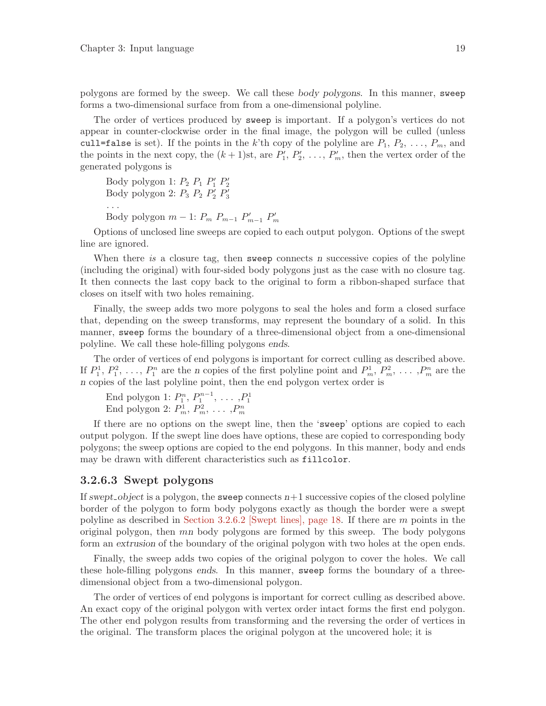<span id="page-22-0"></span>polygons are formed by the sweep. We call these body polygons. In this manner, sweep forms a two-dimensional surface from from a one-dimensional polyline.

The order of vertices produced by sweep is important. If a polygon's vertices do not appear in counter-clockwise order in the final image, the polygon will be culled (unless cull=false is set). If the points in the k'th copy of the polyline are  $P_1, P_2, \ldots, P_m$ , and the points in the next copy, the  $(k+1)$ st, are  $P'_1, P'_2, \ldots, P'_m$ , then the vertex order of the generated polygons is

Body polygon 1:  $P_2$   $P_1$   $P'_1$   $P'_2$ <br>Body polygon 2:  $P_3$   $P_2$   $P'_2$   $P'_3$ . . . Body polygon  $m-1$ :  $P_m$   $P_{m-1}$   $P'_{m-1}$   $P'_m$ 

Options of unclosed line sweeps are copied to each output polygon. Options of the swept line are ignored.

When there is a closure tag, then sweep connects n successive copies of the polyline (including the original) with four-sided body polygons just as the case with no closure tag. It then connects the last copy back to the original to form a ribbon-shaped surface that closes on itself with two holes remaining.

Finally, the sweep adds two more polygons to seal the holes and form a closed surface that, depending on the sweep transforms, may represent the boundary of a solid. In this manner, sweep forms the boundary of a three-dimensional object from a one-dimensional polyline. We call these hole-filling polygons ends.

The order of vertices of end polygons is important for correct culling as described above. If  $P_1^1, P_1^2, \ldots, P_1^n$  are the n copies of the first polyline point and  $P_m^1, P_m^2, \ldots, P_m^n$  are the n copies of the last polyline point, then the end polygon vertex order is

End polygon 1:  $P_1^n, P_1^{n-1}, \ldots, P_1^1$ <br>End polygon 2:  $P_n^1, P_m^2, \ldots, P_m^n$ 

If there are no options on the swept line, then the 'sweep' options are copied to each output polygon. If the swept line does have options, these are copied to corresponding body polygons; the sweep options are copied to the end polygons. In this manner, body and ends may be drawn with different characteristics such as fillcolor.

#### <span id="page-22-1"></span>3.2.6.3 Swept polygons

If swept object is a polygon, the sweep connects  $n+1$  successive copies of the closed polyline border of the polygon to form body polygons exactly as though the border were a swept polyline as described in [Section 3.2.6.2 \[Swept lines\], page 18](#page-21-2). If there are m points in the original polygon, then mn body polygons are formed by this sweep. The body polygons form an extrusion of the boundary of the original polygon with two holes at the open ends.

Finally, the sweep adds two copies of the original polygon to cover the holes. We call these hole-filling polygons ends. In this manner, sweep forms the boundary of a threedimensional object from a two-dimensional polygon.

The order of vertices of end polygons is important for correct culling as described above. An exact copy of the original polygon with vertex order intact forms the first end polygon. The other end polygon results from transforming and the reversing the order of vertices in the original. The transform places the original polygon at the uncovered hole; it is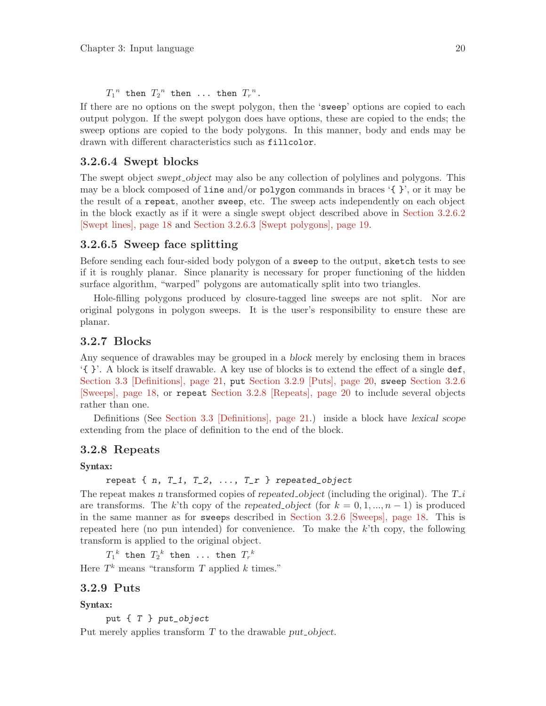<span id="page-23-0"></span> $T_1^{\,n}$  then  $T_2^{\,n}$  then ... then  $T_r^{\,n}$ .

If there are no options on the swept polygon, then the 'sweep' options are copied to each output polygon. If the swept polygon does have options, these are copied to the ends; the sweep options are copied to the body polygons. In this manner, body and ends may be drawn with different characteristics such as fillcolor.

#### 3.2.6.4 Swept blocks

The swept object swept object may also be any collection of polylines and polygons. This may be a block composed of line and/or polygon commands in braces  $\{ \}$ , or it may be the result of a repeat, another sweep, etc. The sweep acts independently on each object in the block exactly as if it were a single swept object described above in [Section 3.2.6.2](#page-21-2) [\[Swept lines\], page 18](#page-21-2) and [Section 3.2.6.3 \[Swept polygons\], page 19.](#page-22-1)

#### 3.2.6.5 Sweep face splitting

Before sending each four-sided body polygon of a sweep to the output, sketch tests to see if it is roughly planar. Since planarity is necessary for proper functioning of the hidden surface algorithm, "warped" polygons are automatically split into two triangles.

Hole-filling polygons produced by closure-tagged line sweeps are not split. Nor are original polygons in polygon sweeps. It is the user's responsibility to ensure these are planar.

#### 3.2.7 Blocks

Any sequence of drawables may be grouped in a block merely by enclosing them in braces '{ }'. A block is itself drawable. A key use of blocks is to extend the effect of a single def, [Section 3.3 \[Definitions\], page 21](#page-24-0), put [Section 3.2.9 \[Puts\], page 20](#page-23-1), sweep [Section 3.2.6](#page-21-1) [\[Sweeps\], page 18](#page-21-1), or repeat [Section 3.2.8 \[Repeats\], page 20](#page-23-2) to include several objects rather than one.

Definitions (See [Section 3.3 \[Definitions\], page 21](#page-24-0).) inside a block have lexical scope extending from the place of definition to the end of the block.

#### <span id="page-23-2"></span>3.2.8 Repeats

#### Syntax:

repeat  $\{ n, T_1, T_2, \ldots, T_r \}$  repeated\_object

The repeat makes n transformed copies of repeated object (including the original). The  $T_i$ are transforms. The k'th copy of the repeated object (for  $k = 0, 1, ..., n - 1$ ) is produced in the same manner as for sweeps described in [Section 3.2.6 \[Sweeps\], page 18](#page-21-1). This is repeated here (no pun intended) for convenience. To make the  $k$ 'th copy, the following transform is applied to the original object.

 $T_1{}^k$  then  $T_2{}^k$  then ... then  $T_r{}^k$ 

Here  $T<sup>k</sup>$  means "transform T applied  $k$  times."

#### <span id="page-23-1"></span>3.2.9 Puts

#### Syntax:

put { T } put\_object

Put merely applies transform  $T$  to the drawable put object.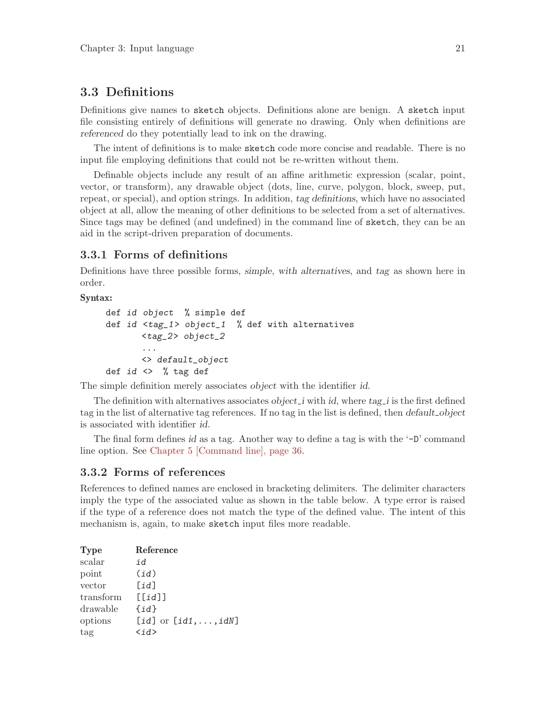### <span id="page-24-0"></span>3.3 Definitions

Definitions give names to sketch objects. Definitions alone are benign. A sketch input file consisting entirely of definitions will generate no drawing. Only when definitions are referenced do they potentially lead to ink on the drawing.

The intent of definitions is to make sketch code more concise and readable. There is no input file employing definitions that could not be re-written without them.

Definable objects include any result of an affine arithmetic expression (scalar, point, vector, or transform), any drawable object (dots, line, curve, polygon, block, sweep, put, repeat, or special), and option strings. In addition, tag definitions, which have no associated object at all, allow the meaning of other definitions to be selected from a set of alternatives. Since tags may be defined (and undefined) in the command line of sketch, they can be an aid in the script-driven preparation of documents.

#### 3.3.1 Forms of definitions

Definitions have three possible forms, simple, with alternatives, and tag as shown here in order.

Syntax:

```
def id object % simple def
def id <tag_1> object_1 % def with alternatives
       <tag_2> object_2
       ...
       <> default_object
def id \Leftrightarrow \% tag def
```
The simple definition merely associates object with the identifier id.

The definition with alternatives associates *object i* with *id*, where  $tagi$  is the first defined tag in the list of alternative tag references. If no tag in the list is defined, then *default* object is associated with identifier id.

The final form defines id as a tag. Another way to define a tag is with the  $\div$ D' command line option. See [Chapter 5 \[Command line\], page 36.](#page-39-0)

#### 3.3.2 Forms of references

References to defined names are enclosed in bracketing delimiters. The delimiter characters imply the type of the associated value as shown in the table below. A type error is raised if the type of a reference does not match the type of the defined value. The intent of this mechanism is, again, to make sketch input files more readable.

| <b>Type</b> | Reference                     |
|-------------|-------------------------------|
| scalar      | id                            |
| point       | (id)                          |
| vector      | [id]                          |
| transform   | $[$ [ $id$ ]]                 |
| drawable    | $\{id\}$                      |
| options     | [id] or $=id1, \ldots, idN$ ] |
| tag         | $\langle id \rangle$          |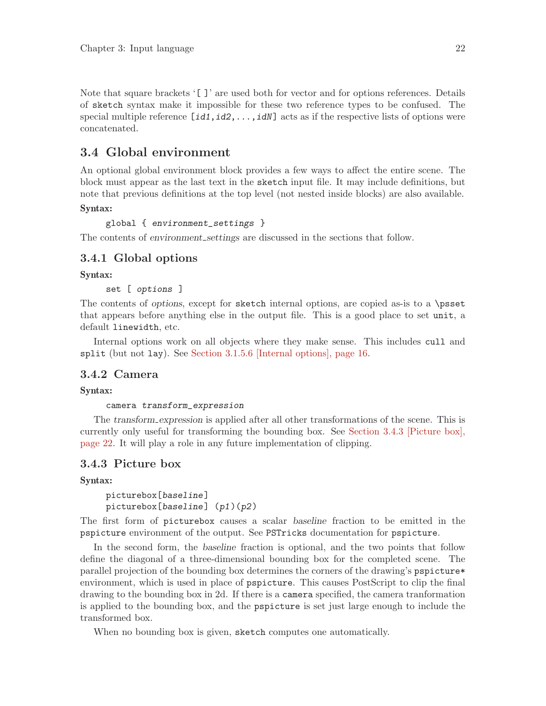<span id="page-25-0"></span>Note that square brackets '[ ]' are used both for vector and for options references. Details of sketch syntax make it impossible for these two reference types to be confused. The special multiple reference  $[\text{id1}, \text{id2}, \ldots, \text{idN}]$  acts as if the respective lists of options were concatenated.

### 3.4 Global environment

An optional global environment block provides a few ways to affect the entire scene. The block must appear as the last text in the sketch input file. It may include definitions, but note that previous definitions at the top level (not nested inside blocks) are also available.

#### Syntax:

```
global { environment_settings }
```
The contents of environment settings are discussed in the sections that follow.

#### <span id="page-25-1"></span>3.4.1 Global options

Syntax:

set [ options ]

The contents of options, except for sketch internal options, are copied as-is to a \psset that appears before anything else in the output file. This is a good place to set unit, a default linewidth, etc.

Internal options work on all objects where they make sense. This includes cull and split (but not lay). See [Section 3.1.5.6 \[Internal options\], page 16](#page-19-1).

#### 3.4.2 Camera

#### Syntax:

#### camera transform\_expression

The transform expression is applied after all other transformations of the scene. This is currently only useful for transforming the bounding box. See [Section 3.4.3 \[Picture box\],](#page-25-2) [page 22](#page-25-2). It will play a role in any future implementation of clipping.

#### <span id="page-25-2"></span>3.4.3 Picture box

#### Syntax:

```
picturebox[baseline]
picturebox[baseline] (p1)(p2)
```
The first form of picturebox causes a scalar baseline fraction to be emitted in the pspicture environment of the output. See PSTricks documentation for pspicture.

In the second form, the baseline fraction is optional, and the two points that follow define the diagonal of a three-dimensional bounding box for the completed scene. The parallel projection of the bounding box determines the corners of the drawing's pspicture\* environment, which is used in place of pspicture. This causes PostScript to clip the final drawing to the bounding box in 2d. If there is a camera specified, the camera tranformation is applied to the bounding box, and the pspicture is set just large enough to include the transformed box.

When no bounding box is given, sketch computes one automatically.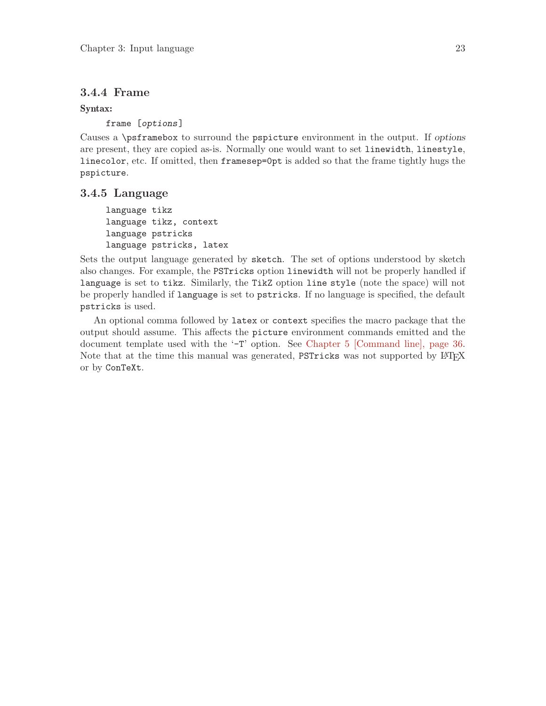#### <span id="page-26-0"></span>3.4.4 Frame

#### Syntax:

frame [options]

Causes a \psframebox to surround the pspicture environment in the output. If options are present, they are copied as-is. Normally one would want to set linewidth, linestyle, linecolor, etc. If omitted, then framesep=0pt is added so that the frame tightly hugs the pspicture.

#### 3.4.5 Language

language tikz language tikz, context language pstricks language pstricks, latex

Sets the output language generated by sketch. The set of options understood by sketch also changes. For example, the PSTricks option linewidth will not be properly handled if language is set to tikz. Similarly, the TikZ option line style (note the space) will not be properly handled if language is set to pstricks. If no language is specified, the default pstricks is used.

An optional comma followed by latex or context specifies the macro package that the output should assume. This affects the picture environment commands emitted and the document template used with the '-T' option. See [Chapter 5 \[Command line\], page 36.](#page-39-0) Note that at the time this manual was generated, PSTricks was not supported by LATEX or by ConTeXt.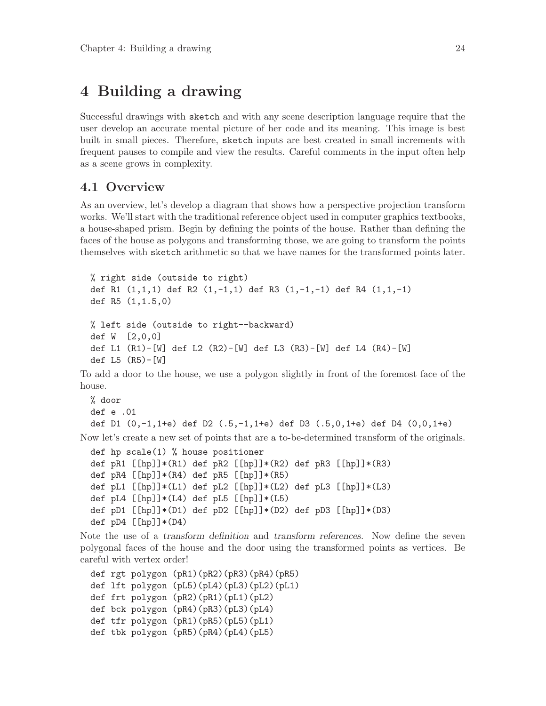# <span id="page-27-0"></span>4 Building a drawing

Successful drawings with sketch and with any scene description language require that the user develop an accurate mental picture of her code and its meaning. This image is best built in small pieces. Therefore, sketch inputs are best created in small increments with frequent pauses to compile and view the results. Careful comments in the input often help as a scene grows in complexity.

#### <span id="page-27-1"></span>4.1 Overview

As an overview, let's develop a diagram that shows how a perspective projection transform works. We'll start with the traditional reference object used in computer graphics textbooks, a house-shaped prism. Begin by defining the points of the house. Rather than defining the faces of the house as polygons and transforming those, we are going to transform the points themselves with sketch arithmetic so that we have names for the transformed points later.

```
% right side (outside to right)
def R1 (1,1,1) def R2 (1,-1,1) def R3 (1,-1,-1) def R4 (1,1,-1)
def R5 (1,1.5,0)
% left side (outside to right--backward)
def W [2,0,0]
def L1 (R1)-[W] def L2 (R2)-[W] def L3 (R3)-[W] def L4 (R4)-[W]
def L5 (R5)-[W]
```
To add a door to the house, we use a polygon slightly in front of the foremost face of the house.

```
% door
def e .01
def D1 (0,-1,1+e) def D2 (.5,-1,1+e) def D3 (.5,0,1+e) def D4 (0,0,1+e)
```
Now let's create a new set of points that are a to-be-determined transform of the originals.

```
def hp scale(1) % house positioner
def pR1 [[hp]]*(R1) def pR2 [[hp]]*(R2) def pR3 [[hp]]*(R3)
def pR4 [\text{[hp]}]*(R4) def pR5 [\text{[hp]}]*(R5)def pL1 [\hbox{[hp]}]*(L1) def pL2 [\hbox{[hp]}]*(L2) def pL3 [\hbox{[hp]}]*(L3)def pL4 [[hp]]*(L4) def pL5 [[hp]]*(L5)def pD1 [[hp]]*(D1) def pD2 [[hp]]*(D2) def pD3 [[hp]]*(D3)
def pD4 [[hp]]*(D4)
```
Note the use of a transform definition and transform references. Now define the seven polygonal faces of the house and the door using the transformed points as vertices. Be careful with vertex order!

```
def rgt polygon (pR1)(pR2)(pR3)(pR4)(pR5)
def lft polygon (pL5)(pL4)(pL3)(pL2)(pL1)
def frt polygon (pR2)(pR1)(pL1)(pL2)
def bck polygon (pR4)(pR3)(pL3)(pL4)
def tfr polygon (pR1)(pR5)(pL5)(pL1)
def tbk polygon (pR5)(pR4)(pL4)(pL5)
```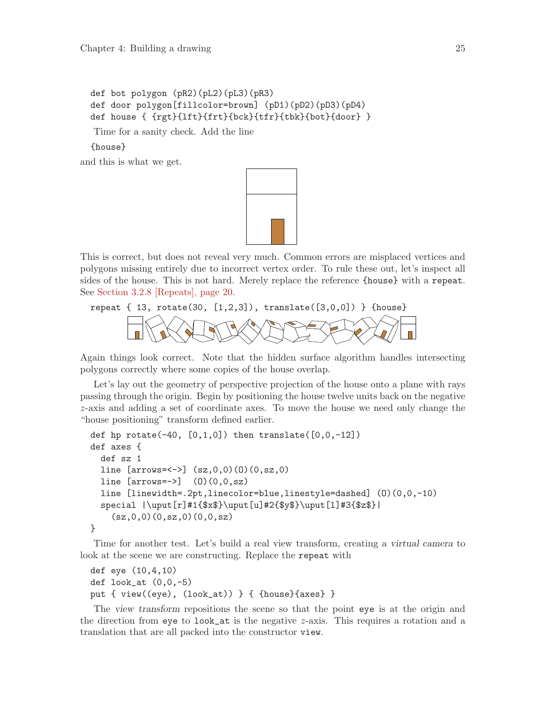```
def bot polygon (pR2)(pL2)(pL3)(pR3)
def door polygon[fillcolor=brown] (pD1)(pD2)(pD3)(pD4)
def house { {rgt}{lft}{frt}{bck}{tfr}{tbk}{bot}{door} }
```
Time for a sanity check. Add the line

{house}

and this is what we get.



This is correct, but does not reveal very much. Common errors are misplaced vertices and polygons missing entirely due to incorrect vertex order. To rule these out, let's inspect all sides of the house. This is not hard. Merely replace the reference {house} with a repeat. See [Section 3.2.8 \[Repeats\], page 20.](#page-23-2)

# repeat  $\{ 13, \text{ rotate}(30, [1,2,3])$ , translate $([3,0,0]) \}$  {house}

Again things look correct. Note that the hidden surface algorithm handles intersecting polygons correctly where some copies of the house overlap.

Let's lay out the geometry of perspective projection of the house onto a plane with rays passing through the origin. Begin by positioning the house twelve units back on the negative z-axis and adding a set of coordinate axes. To move the house we need only change the "house positioning" transform defined earlier.

```
def hp rotate(-40, [0,1,0]) then translate([0,0,-12])def axes {
 def sz 1
 line [arrows=<->[ (sz,0,0)(0)(0,sz,0)]line [arrows=->] (0)(0,0,sz)line [linewidth=.2pt,linecolor=blue,linestyle=dashed] (O)(0,0,-10)
 special |\uput[r]#1{$x$}\uput[u]#2{$y$}\uput[l]#3{$z$}|
    (sz,0,0)(0,sz,0)(0,0,sz)}
```
Time for another test. Let's build a real view transform, creating a virtual camera to look at the scene we are constructing. Replace the repeat with

```
def eye (10,4,10)
def look_at (0,0,-5)
put { view((eye), (look_at)) } { {house}{axes} }
```
The view transform repositions the scene so that the point eye is at the origin and the direction from eye to look\_at is the negative  $z$ -axis. This requires a rotation and a translation that are all packed into the constructor view.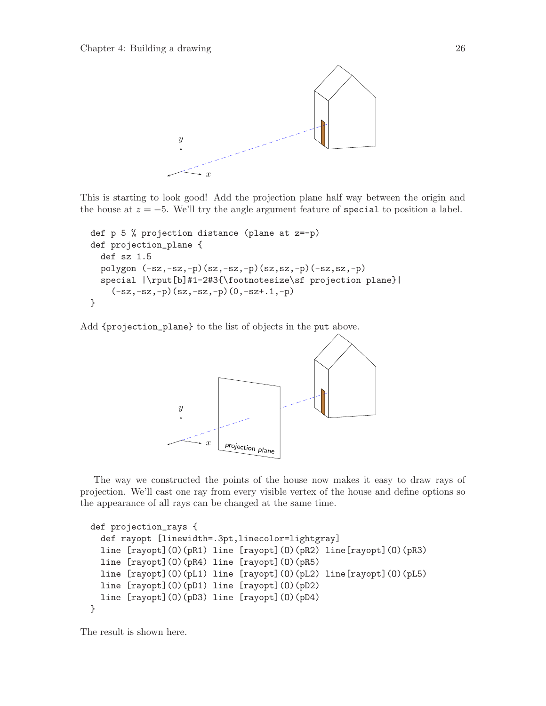

This is starting to look good! Add the projection plane half way between the origin and the house at  $z = -5$ . We'll try the angle argument feature of special to position a label.

```
def p 5 % projection distance (plane at z=-p)
def projection_plane {
  def sz 1.5
  polygon (-sz,-sz,-p)(sz,-sz,-p)(sz,sz,-p)(-sz,sz,-p)
  special |\rput[b]#1-2#3{\footnotesize\sf projection plane}|
    (-sz,-sz,-p)(sz,-sz,-p)(0,-sz+.1,-p)}
```
Add {projection\_plane} to the list of objects in the put above.



The way we constructed the points of the house now makes it easy to draw rays of projection. We'll cast one ray from every visible vertex of the house and define options so the appearance of all rays can be changed at the same time.

```
def projection_rays {
 def rayopt [linewidth=.3pt,linecolor=lightgray]
 line [rayopt](O)(pR1) line [rayopt](O)(pR2) line[rayopt](O)(pR3)
 line [rayopt](O)(pR4) line [rayopt](O)(pR5)
 line [rayopt](O)(pL1) line [rayopt](O)(pL2) line[rayopt](O)(pL5)
 line [rayopt](O)(pD1) line [rayopt](O)(pD2)
 line [rayopt](O)(pD3) line [rayopt](O)(pD4)
}
```
The result is shown here.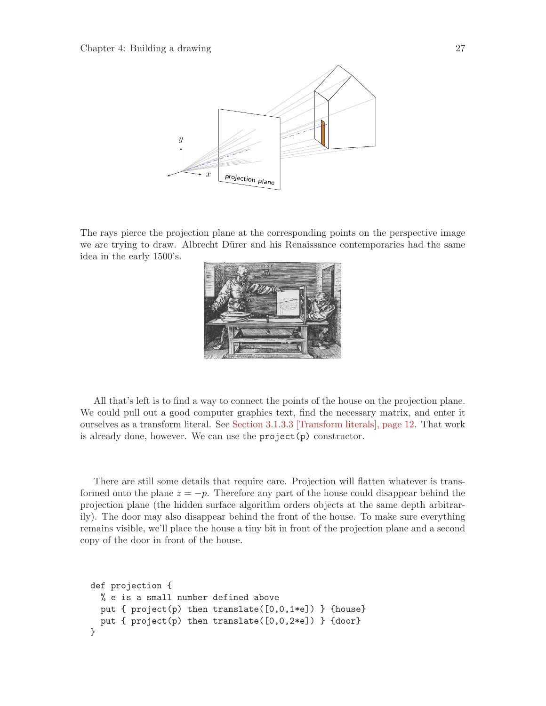

The rays pierce the projection plane at the corresponding points on the perspective image we are trying to draw. Albrecht Dürer and his Renaissance contemporaries had the same idea in the early 1500's.



All that's left is to find a way to connect the points of the house on the projection plane. We could pull out a good computer graphics text, find the necessary matrix, and enter it ourselves as a transform literal. See [Section 3.1.3.3 \[Transform literals\], page 12.](#page-15-1) That work is already done, however. We can use the project(p) constructor.

There are still some details that require care. Projection will flatten whatever is transformed onto the plane  $z = -p$ . Therefore any part of the house could disappear behind the projection plane (the hidden surface algorithm orders objects at the same depth arbitrarily). The door may also disappear behind the front of the house. To make sure everything remains visible, we'll place the house a tiny bit in front of the projection plane and a second copy of the door in front of the house.

```
def projection {
 % e is a small number defined above
 put { project(p) then translate([0,0,1*e]) } {house}
 put { project(p) then translate([0,0,2*e]) } {door}
}
```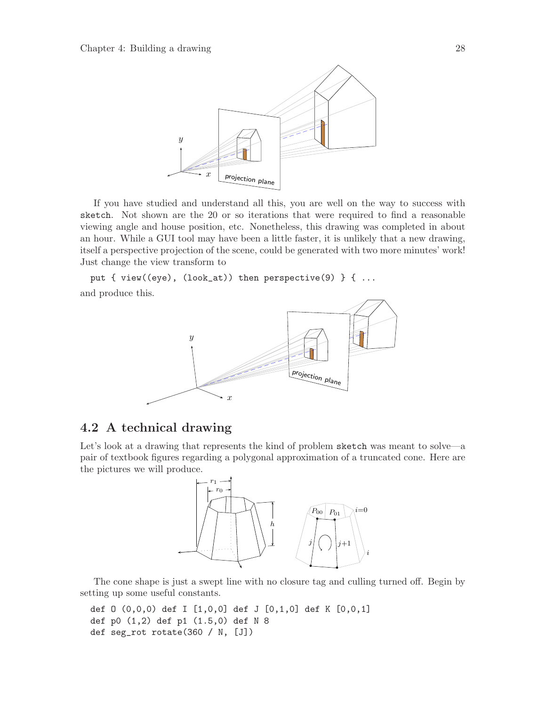<span id="page-31-0"></span>

If you have studied and understand all this, you are well on the way to success with sketch. Not shown are the 20 or so iterations that were required to find a reasonable viewing angle and house position, etc. Nonetheless, this drawing was completed in about an hour. While a GUI tool may have been a little faster, it is unlikely that a new drawing, itself a perspective projection of the scene, could be generated with two more minutes' work! Just change the view transform to

put { view((eye),  $(look_at)$ ) then perspective(9) } { ... and produce this.



### 4.2 A technical drawing

Let's look at a drawing that represents the kind of problem sketch was meant to solve—a pair of textbook figures regarding a polygonal approximation of a truncated cone. Here are the pictures we will produce.



The cone shape is just a swept line with no closure tag and culling turned off. Begin by setting up some useful constants.

def O (0,0,0) def I [1,0,0] def J [0,1,0] def K [0,0,1] def p0 (1,2) def p1 (1.5,0) def N 8 def seg\_rot rotate(360 / N, [J])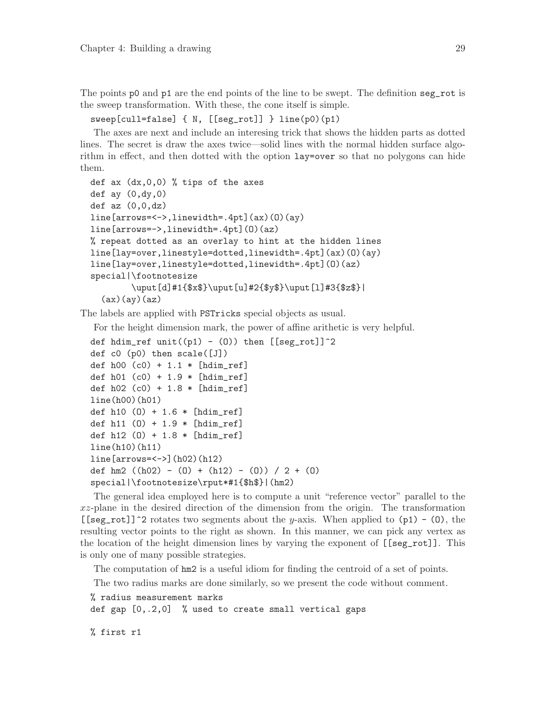<span id="page-32-0"></span>The points p0 and p1 are the end points of the line to be swept. The definition seg\_rot is the sweep transformation. With these, the cone itself is simple.

#### sweep[cull=false] { N, [[seg\_rot]] } line(p0)(p1)

The axes are next and include an interesing trick that shows the hidden parts as dotted lines. The secret is draw the axes twice—solid lines with the normal hidden surface algorithm in effect, and then dotted with the option lay=over so that no polygons can hide them.

```
def ax (dx,0,0) % tips of the axes
def ay (0, dy, 0)def az (0,0,dz)line[arrows=<->,linewidth=.4pt](ax)(O)(ay)
line[arrows=->,linewidth=.4pt](O)(az)
% repeat dotted as an overlay to hint at the hidden lines
line[lay=over,linestyle=dotted,linewidth=.4pt](ax)(O)(ay)
line[lay=over,linestyle=dotted,linewidth=.4pt](O)(az)
special|\footnotesize
        \uput[d]#1{$x$}\uput[u]#2{$y$}\uput[l]#3{$z$}|
  (ax)(ay)(az)
```
The labels are applied with PSTricks special objects as usual.

For the height dimension mark, the power of affine arithetic is very helpful.

```
def hdim_ref unit((p1) - (0)) then [[seg_rot]]<sup>2</sup>
def c0 (p0) then scale([J])
def h00 (c0) + 1.1 * [hdim_ref]
def h01 (c0) + 1.9 * [hdim_ref]
def h02 (c0) + 1.8 * [hdim_ref]
line(h00)(h01)
def h10 (O) + 1.6 * [hdim_ref]
def h11 (O) + 1.9 * [hdim_ref]
def h12 (O) + 1.8 * [hdim_ref]
line(h10)(h11)
line[arrows=<->](h02)(h12)
def hm2 ((h02) - (0) + (h12) - (0)) / 2 + (0)special|\footnotesize\rput*#1{$h$}|(hm2)
```
The general idea employed here is to compute a unit "reference vector" parallel to the xz-plane in the desired direction of the dimension from the origin. The transformation [[seg\_rot]]<sup> $\degree$ 2 rotates two segments about the y-axis. When applied to (p1) - (0), the</sup> resulting vector points to the right as shown. In this manner, we can pick any vertex as the location of the height dimension lines by varying the exponent of [[seg\_rot]]. This is only one of many possible strategies.

The computation of hm2 is a useful idiom for finding the centroid of a set of points.

The two radius marks are done similarly, so we present the code without comment.

% radius measurement marks def gap [0,.2,0] % used to create small vertical gaps

% first r1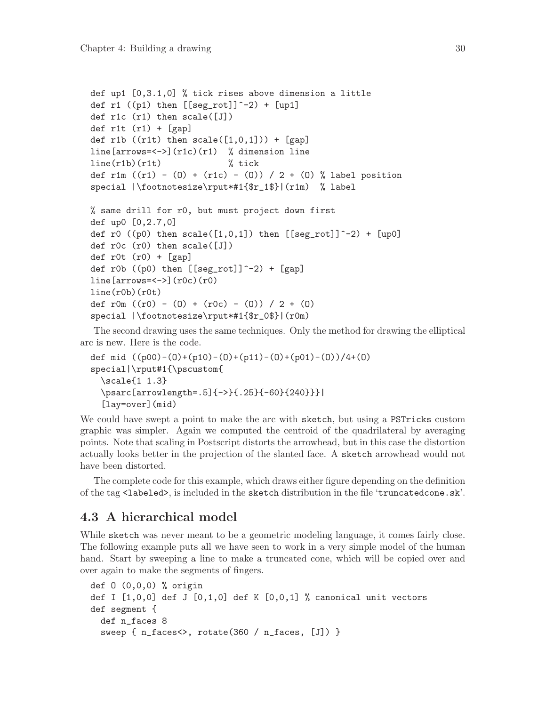```
def up1 [0,3.1,0] % tick rises above dimension a little
def r1 ((p1) then [[seg_{rot}]]^{\frown}-2) + [up1]def r1c (r1) then scale([J])
def r1t (r1) + [gap]def r1b ((r1t) then scale([1,0,1])) + [gap]
line[arrows=<->](r1c)(r1) % dimension line
line(r1b)(r1t) % tick
def r1m ((r1) - (0) + (r1c) - (0)) / 2 + (0) % label position
special |\footnotesize\rput*#1{$r_1$}|(r1m) % label
% same drill for r0, but must project down first
def up0 [0,2.7,0]
def r0 ((p0) then scale([1,0,1]) then [[seg\_rot]]^2-2) + [up0]def r0c (r0) then scale([J])
def r0t (r0) + [gap]def r0b ((p0) then [[seg_rot]]^-2) + [gap]
line[arrows=<->[(r0c)(r0)]line(r0b)(r0t)def r0m ((r0) - (0) + (r0c) - (0)) / 2 + (0)special |\footnotesize\rput*#1{$r_0$}|(r0m)
```
The second drawing uses the same techniques. Only the method for drawing the elliptical arc is new. Here is the code.

```
def mid ((p00)-(O)+(p10)-(O)+(p11)-(O)+(p01)-(O))/4+(O)
special|\rput#1{\pscustom{
  \scale{1 1.3}
  \psarc[arrowlength=.5]{->}{.25}{-60}{240}}}|
  [lay=over](mid)
```
We could have swept a point to make the arc with sketch, but using a PSTricks custom graphic was simpler. Again we computed the centroid of the quadrilateral by averaging points. Note that scaling in Postscript distorts the arrowhead, but in this case the distortion actually looks better in the projection of the slanted face. A sketch arrowhead would not have been distorted.

The complete code for this example, which draws either figure depending on the definition of the tag <labeled>, is included in the sketch distribution in the file 'truncatedcone.sk'.

### 4.3 A hierarchical model

While sketch was never meant to be a geometric modeling language, it comes fairly close. The following example puts all we have seen to work in a very simple model of the human hand. Start by sweeping a line to make a truncated cone, which will be copied over and over again to make the segments of fingers.

```
def O (0,0,0) % origin
def I [1,0,0] def J [0,1,0] def K [0,0,1] % canonical unit vectors
def segment {
 def n_faces 8
 sweep { n_faces<>, rotate(360 / n_faces, [J]) }
```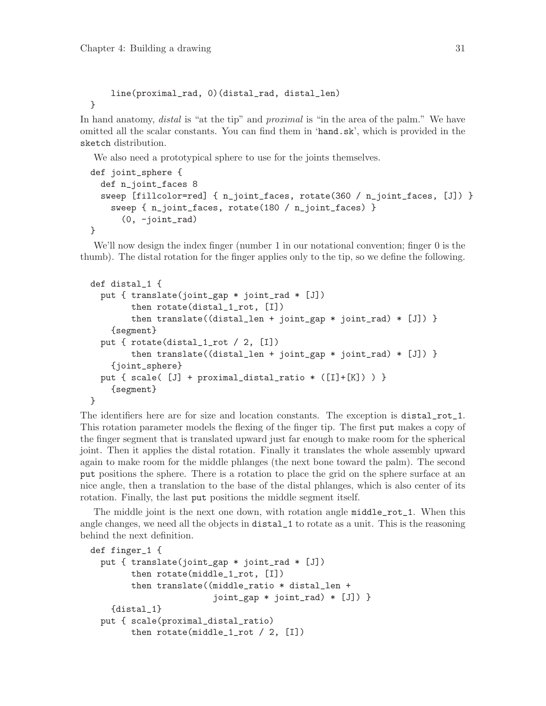}

<span id="page-34-0"></span>line(proximal\_rad, 0)(distal\_rad, distal\_len)

In hand anatomy, *distal* is "at the tip" and *proximal* is "in the area of the palm." We have omitted all the scalar constants. You can find them in 'hand.sk', which is provided in the sketch distribution.

We also need a prototypical sphere to use for the joints themselves.

```
def joint_sphere {
  def n_joint_faces 8
  sweep [fillcolor=red] { n_joint_faces, rotate(360 / n_joint_faces, [J]) }
    sweep { n_joint_faces, rotate(180 / n_joint_faces) }
      (0, -joint_rad)
}
```
We'll now design the index finger (number 1 in our notational convention; finger 0 is the thumb). The distal rotation for the finger applies only to the tip, so we define the following.

```
def distal_1 {
  put { translate(joint_gap * joint_rad * [J])
        then rotate(distal_1_rot, [I])
        then translate((distal_len + joint_gap * joint_rad) * [J]) }
    {segment}
  put { rotate(distal_1_rot / 2, [I])
        then translate((distal_len + joint_gap * joint_rad) * [J]) }
    {joint_sphere}
  put { scale( [J] + proximal_distal_ratio * ([I]+[K]) ) }
    {segment}
}
```
The identifiers here are for size and location constants. The exception is distal\_rot\_1. This rotation parameter models the flexing of the finger tip. The first put makes a copy of the finger segment that is translated upward just far enough to make room for the spherical joint. Then it applies the distal rotation. Finally it translates the whole assembly upward again to make room for the middle phlanges (the next bone toward the palm). The second put positions the sphere. There is a rotation to place the grid on the sphere surface at an nice angle, then a translation to the base of the distal phlanges, which is also center of its rotation. Finally, the last put positions the middle segment itself.

The middle joint is the next one down, with rotation angle middle\_rot\_1. When this angle changes, we need all the objects in distal\_1 to rotate as a unit. This is the reasoning behind the next definition.

```
def finger_1 {
  put { translate(joint_gap * joint_rad * [J])
        then rotate(middle_1_rot, [I])
        then translate((middle_ratio * distal_len +
                        joint_gap * joint_rad) * [J]) }
    {distal_1}
  put { scale(proximal_distal_ratio)
        then rotate(middle_1_rot / 2, [I])
```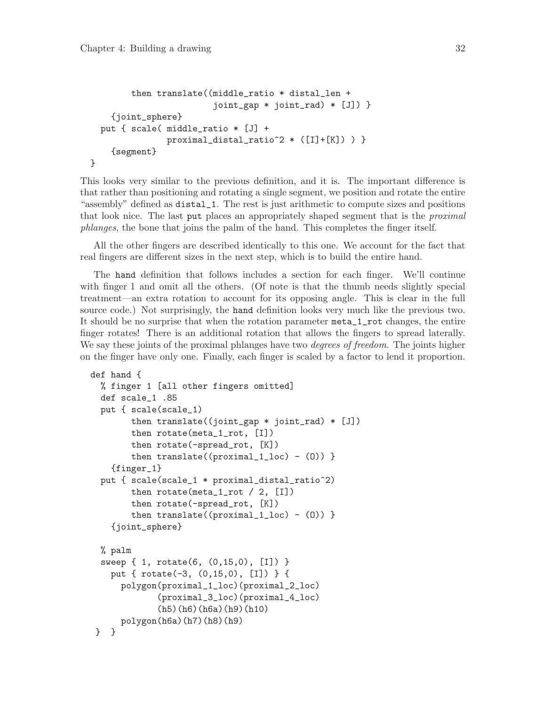}

```
then translate((middle_ratio * distal_len +
                      joint_gap * joint_rad) * [J]) }
  {joint_sphere}
put { scale( middle_ratio * [J] +
             proximal_distal_ratio^2 * ([I]+[K]) ) }
  {segment}
```
This looks very similar to the previous definition, and it is. The important difference is that rather than positioning and rotating a single segment, we position and rotate the entire "assembly" defined as distal\_1. The rest is just arithmetic to compute sizes and positions that look nice. The last put places an appropriately shaped segment that is the *proximal* phlanges, the bone that joins the palm of the hand. This completes the finger itself.

All the other fingers are described identically to this one. We account for the fact that real fingers are different sizes in the next step, which is to build the entire hand.

The hand definition that follows includes a section for each finger. We'll continue with finger 1 and omit all the others. (Of note is that the thumb needs slightly special treatment—an extra rotation to account for its opposing angle. This is clear in the full source code.) Not surprisingly, the hand definition looks very much like the previous two. It should be no surprise that when the rotation parameter meta\_1\_rot changes, the entire finger rotates! There is an additional rotation that allows the fingers to spread laterally. We say these joints of the proximal phlanges have two *degrees of freedom*. The joints higher on the finger have only one. Finally, each finger is scaled by a factor to lend it proportion.

```
def hand {
  % finger 1 [all other fingers omitted]
  def scale_1 .85
  put { scale(scale_1)
        then translate((joint_gap * joint_rad) * [J])
        then rotate(meta_1_rot, [I])
        then rotate(-spread_rot, [K])
        then translate((proximal_1loc) - (0)) }
    {finger_1}
  put { scale(scale_1 * proximal_distal_ratio^2)
        then rotate(meta_1_{rot}/2, [I])then rotate(-spread_rot, [K])
        then translate((proximal_1loc) - (0))}
    {joint_sphere}
  % palm
  sweep { 1, rotate(6, (0,15,0), [I]) }
    put { rotate(-3, (0,15,0), [I]) } {
      polygon(proximal_1_loc)(proximal_2_loc)
             (proximal_3_loc)(proximal_4_loc)
             (h5)(h6)(h6a)(h9)(h10)
      polygon(h6a)(h7)(h8)(h9)
} }
```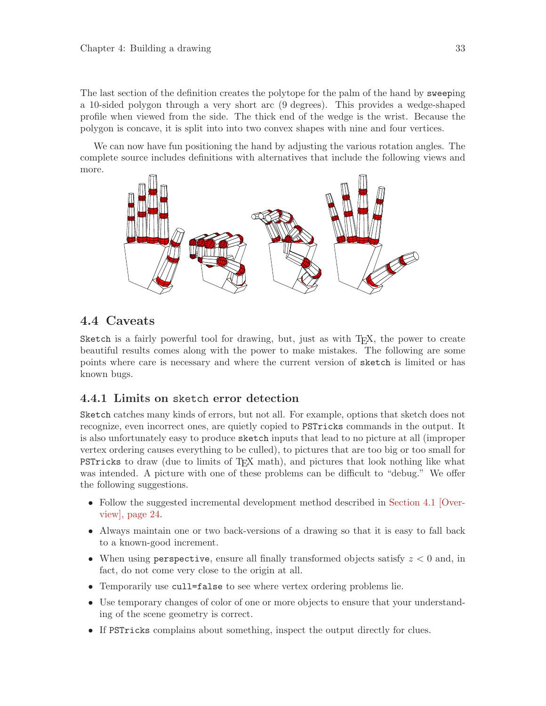<span id="page-36-0"></span>The last section of the definition creates the polytope for the palm of the hand by sweeping a 10-sided polygon through a very short arc (9 degrees). This provides a wedge-shaped profile when viewed from the side. The thick end of the wedge is the wrist. Because the polygon is concave, it is split into into two convex shapes with nine and four vertices.

We can now have fun positioning the hand by adjusting the various rotation angles. The complete source includes definitions with alternatives that include the following views and more.



### 4.4 Caveats

Sketch is a fairly powerful tool for drawing, but, just as with T<sub>EX</sub>, the power to create beautiful results comes along with the power to make mistakes. The following are some points where care is necessary and where the current version of sketch is limited or has known bugs.

#### <span id="page-36-1"></span>4.4.1 Limits on sketch error detection

Sketch catches many kinds of errors, but not all. For example, options that sketch does not recognize, even incorrect ones, are quietly copied to PSTricks commands in the output. It is also unfortunately easy to produce sketch inputs that lead to no picture at all (improper vertex ordering causes everything to be culled), to pictures that are too big or too small for PSTricks to draw (due to limits of TEX math), and pictures that look nothing like what was intended. A picture with one of these problems can be difficult to "debug." We offer the following suggestions.

- Follow the suggested incremental development method described in [Section 4.1 \[Over](#page-27-1)[view\], page 24](#page-27-1).
- Always maintain one or two back-versions of a drawing so that it is easy to fall back to a known-good increment.
- When using perspective, ensure all finally transformed objects satisfy  $z < 0$  and, in fact, do not come very close to the origin at all.
- Temporarily use cull=false to see where vertex ordering problems lie.
- Use temporary changes of color of one or more objects to ensure that your understanding of the scene geometry is correct.
- If PSTricks complains about something, inspect the output directly for clues.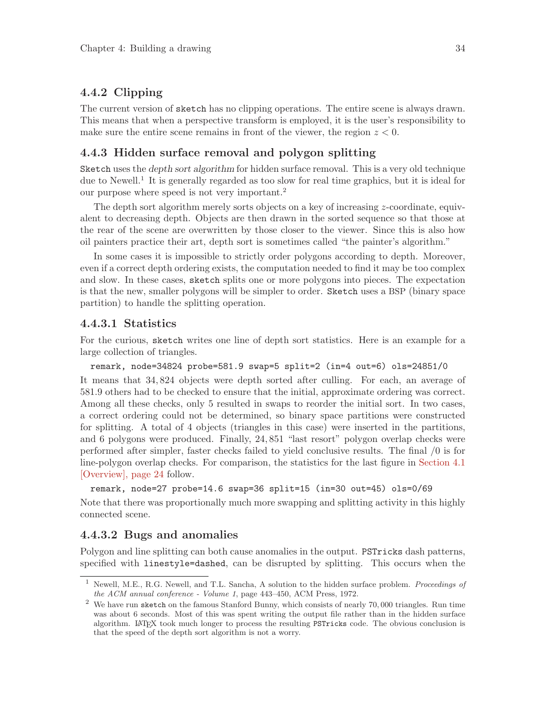#### <span id="page-37-0"></span>4.4.2 Clipping

The current version of sketch has no clipping operations. The entire scene is always drawn. This means that when a perspective transform is employed, it is the user's responsibility to make sure the entire scene remains in front of the viewer, the region  $z < 0$ .

#### <span id="page-37-1"></span>4.4.3 Hidden surface removal and polygon splitting

Sketch uses the depth sort algorithm for hidden surface removal. This is a very old technique due to Newell.<sup>1</sup> It is generally regarded as too slow for real time graphics, but it is ideal for our purpose where speed is not very important.<sup>2</sup>

The depth sort algorithm merely sorts objects on a key of increasing z-coordinate, equivalent to decreasing depth. Objects are then drawn in the sorted sequence so that those at the rear of the scene are overwritten by those closer to the viewer. Since this is also how oil painters practice their art, depth sort is sometimes called "the painter's algorithm."

In some cases it is impossible to strictly order polygons according to depth. Moreover, even if a correct depth ordering exists, the computation needed to find it may be too complex and slow. In these cases, sketch splits one or more polygons into pieces. The expectation is that the new, smaller polygons will be simpler to order. Sketch uses a BSP (binary space partition) to handle the splitting operation.

#### 4.4.3.1 Statistics

For the curious, sketch writes one line of depth sort statistics. Here is an example for a large collection of triangles.

remark, node=34824 probe=581.9 swap=5 split=2 (in=4 out=6) ols=24851/0

It means that 34, 824 objects were depth sorted after culling. For each, an average of 581.9 others had to be checked to ensure that the initial, approximate ordering was correct. Among all these checks, only 5 resulted in swaps to reorder the initial sort. In two cases, a correct ordering could not be determined, so binary space partitions were constructed for splitting. A total of 4 objects (triangles in this case) were inserted in the partitions, and 6 polygons were produced. Finally, 24, 851 "last resort" polygon overlap checks were performed after simpler, faster checks failed to yield conclusive results. The final /0 is for line-polygon overlap checks. For comparison, the statistics for the last figure in [Section 4.1](#page-27-1) [\[Overview\], page 24](#page-27-1) follow.

```
remark, node=27 probe=14.6 swap=36 split=15 (in=30 out=45) ols=0/69
```
Note that there was proportionally much more swapping and splitting activity in this highly connected scene.

#### <span id="page-37-2"></span>4.4.3.2 Bugs and anomalies

Polygon and line splitting can both cause anomalies in the output. PSTricks dash patterns, specified with linestyle=dashed, can be disrupted by splitting. This occurs when the

Newell, M.E., R.G. Newell, and T.L. Sancha, A solution to the hidden surface problem. Proceedings of the ACM annual conference - Volume 1, page 443–450, ACM Press, 1972.

 $2$  We have run sketch on the famous Stanford Bunny, which consists of nearly 70,000 triangles. Run time was about 6 seconds. Most of this was spent writing the output file rather than in the hidden surface algorithm. LATEX took much longer to process the resulting PSTricks code. The obvious conclusion is that the speed of the depth sort algorithm is not a worry.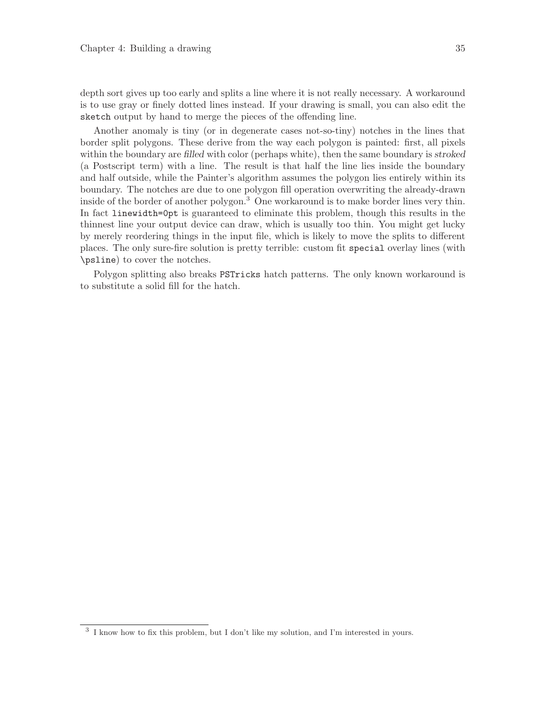<span id="page-38-0"></span>depth sort gives up too early and splits a line where it is not really necessary. A workaround is to use gray or finely dotted lines instead. If your drawing is small, you can also edit the sketch output by hand to merge the pieces of the offending line.

Another anomaly is tiny (or in degenerate cases not-so-tiny) notches in the lines that border split polygons. These derive from the way each polygon is painted: first, all pixels within the boundary are filled with color (perhaps white), then the same boundary is stroked (a Postscript term) with a line. The result is that half the line lies inside the boundary and half outside, while the Painter's algorithm assumes the polygon lies entirely within its boundary. The notches are due to one polygon fill operation overwriting the already-drawn inside of the border of another polygon.<sup>3</sup> One workaround is to make border lines very thin. In fact linewidth=0pt is guaranteed to eliminate this problem, though this results in the thinnest line your output device can draw, which is usually too thin. You might get lucky by merely reordering things in the input file, which is likely to move the splits to different places. The only sure-fire solution is pretty terrible: custom fit special overlay lines (with \psline) to cover the notches.

Polygon splitting also breaks PSTricks hatch patterns. The only known workaround is to substitute a solid fill for the hatch.

<sup>&</sup>lt;sup>3</sup> I know how to fix this problem, but I don't like my solution, and I'm interested in yours.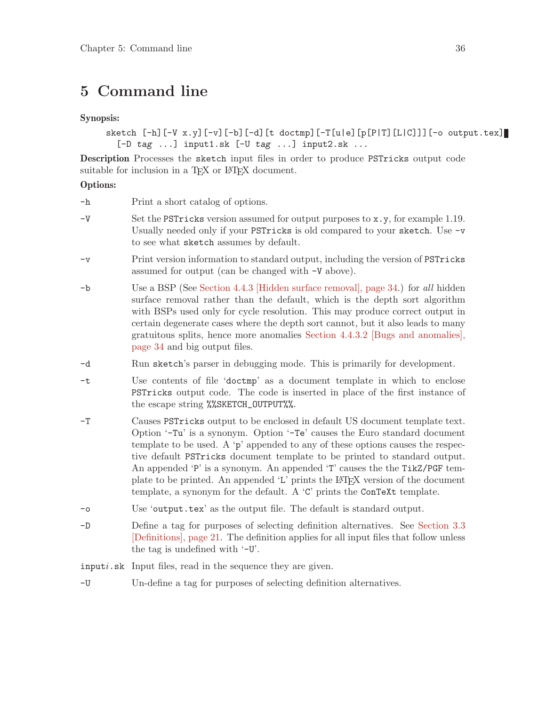# <span id="page-39-0"></span>5 Command line

#### Synopsis:

sketch [-h][-V x.y][-v][-b][-d][t doctmp][-T[u|e][p[P|T][L|C]]][-o output.tex]  $[-D \text{ tag } ...]$  input1.sk  $[-U \text{ tag } ...]$  input2.sk ...

Description Processes the sketch input files in order to produce PSTricks output code suitable for inclusion in a T<sub>EX</sub> or L<sup>AT</sup>EX document.

#### Options:

| -h |  |  |  |  | Print a short catalog of options. |
|----|--|--|--|--|-----------------------------------|
|----|--|--|--|--|-----------------------------------|

- $-V$  Set the PSTricks version assumed for output purposes to  $x,y$ , for example 1.19. Usually needed only if your PSTricks is old compared to your sketch. Use -v to see what sketch assumes by default.
- -v Print version information to standard output, including the version of PSTricks assumed for output (can be changed with -V above).
- -b Use a BSP (See [Section 4.4.3 \[Hidden surface removal\], page 34.](#page-37-1)) for all hidden surface removal rather than the default, which is the depth sort algorithm with BSPs used only for cycle resolution. This may produce correct output in certain degenerate cases where the depth sort cannot, but it also leads to many gratuitous splits, hence more anomalies [Section 4.4.3.2 \[Bugs and anomalies\],](#page-37-2) [page 34](#page-37-2) and big output files.
- -d Run sketch's parser in debugging mode. This is primarily for development.
- -t Use contents of file 'doctmp' as a document template in which to enclose PSTricks output code. The code is inserted in place of the first instance of the escape string %%SKETCH\_OUTPUT%%.
- -T Causes PSTricks output to be enclosed in default US document template text. Option '-Tu' is a synonym. Option '-Te' causes the Euro standard document template to be used. A 'p' appended to any of these options causes the respective default PSTricks document template to be printed to standard output. An appended 'P' is a synonym. An appended 'T' causes the the TikZ/PGF template to be printed. An appended  $L'$  prints the LAT<sub>EX</sub> version of the document template, a synonym for the default. A 'C' prints the ConTeXt template.
- -o Use 'output.tex' as the output file. The default is standard output.
- -D Define a tag for purposes of selecting definition alternatives. See [Section 3.3](#page-24-0) [\[Definitions\], page 21.](#page-24-0) The definition applies for all input files that follow unless the tag is undefined with '-U'.
- inputi.sk Input files, read in the sequence they are given.
- -U Un-define a tag for purposes of selecting definition alternatives.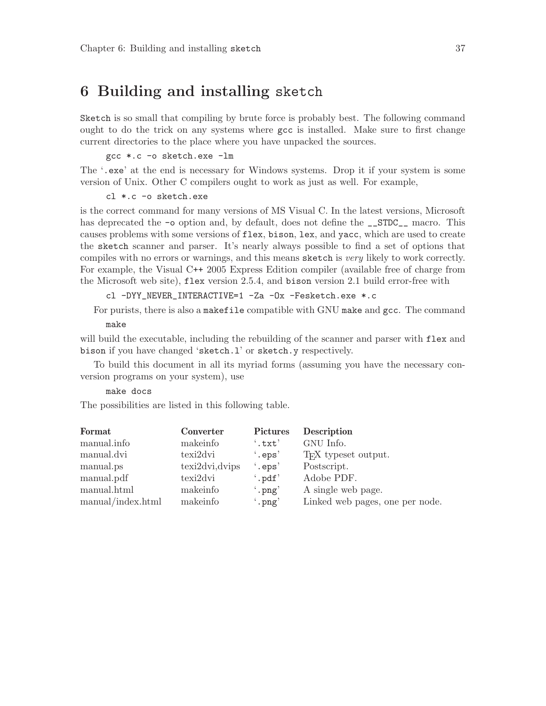# <span id="page-40-0"></span>6 Building and installing sketch

Sketch is so small that compiling by brute force is probably best. The following command ought to do the trick on any systems where gcc is installed. Make sure to first change current directories to the place where you have unpacked the sources.

gcc \*.c -o sketch.exe -lm

The '.exe' at the end is necessary for Windows systems. Drop it if your system is some version of Unix. Other C compilers ought to work as just as well. For example,

cl \*.c -o sketch.exe

is the correct command for many versions of MS Visual C. In the latest versions, Microsoft has deprecated the  $\sim$  option and, by default, does not define the \_\_STDC\_\_ macro. This causes problems with some versions of flex, bison, lex, and yacc, which are used to create the sketch scanner and parser. It's nearly always possible to find a set of options that compiles with no errors or warnings, and this means sketch is very likely to work correctly. For example, the Visual C++ 2005 Express Edition compiler (available free of charge from the Microsoft web site), flex version 2.5.4, and bison version 2.1 build error-free with

cl -DYY\_NEVER\_INTERACTIVE=1 -Za -Ox -Fesketch.exe \*.c

For purists, there is also a makefile compatible with GNU make and gcc. The command

make

will build the executable, including the rebuilding of the scanner and parser with flex and bison if you have changed 'sketch.l' or sketch.y respectively.

To build this document in all its myriad forms (assuming you have the necessary conversion programs on your system), use

#### make docs

The possibilities are listed in this following table.

| Format            | Converter        | <b>Pictures</b>  | <b>Description</b>               |
|-------------------|------------------|------------------|----------------------------------|
| manual.info       | makeinfo         | $^{\circ}$ .txt' | GNU Info.                        |
| manual.dvi        | texi2dvi         | $\cdot$ .eps'    | T <sub>F</sub> X typeset output. |
| manual.ps         | texti2dvi, dvips | $\cdot$ .eps'    | Postscript.                      |
| manual.pdf        | texi2dvi         | $\cdot$ .pdf'    | Adobe PDF.                       |
| manual.html       | makeinfo         | $\cdot$ , png'   | A single web page.               |
| manual/index.html | makeinfo         | $\cdot$ png'     | Linked web pages, one per node.  |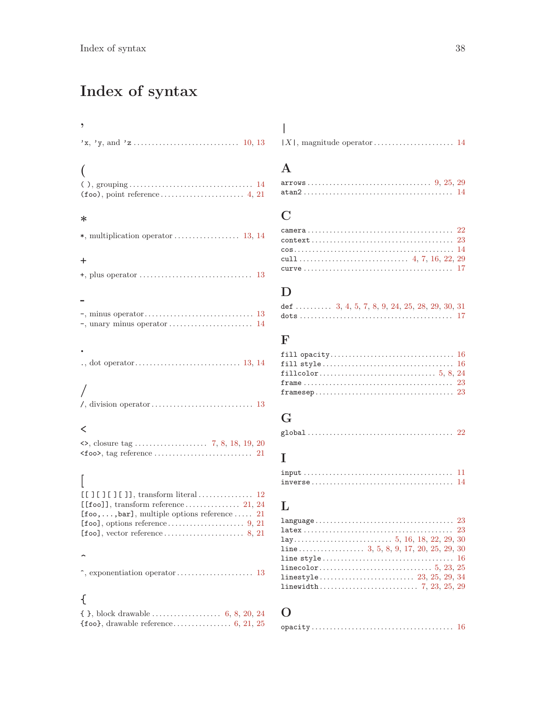# <span id="page-41-0"></span>Index of syntax

| ,                                                                              |  |
|--------------------------------------------------------------------------------|--|
|                                                                                |  |
|                                                                                |  |
|                                                                                |  |
| $(foo), point reference \ldots \ldots \ldots \ldots \ldots \ldots \quad 4, 21$ |  |
| $\ast$                                                                         |  |
|                                                                                |  |
|                                                                                |  |
| $\ddot{}$                                                                      |  |
|                                                                                |  |
|                                                                                |  |
|                                                                                |  |
|                                                                                |  |
|                                                                                |  |
|                                                                                |  |
|                                                                                |  |
|                                                                                |  |
|                                                                                |  |
|                                                                                |  |
|                                                                                |  |
|                                                                                |  |
| ≺                                                                              |  |
|                                                                                |  |
|                                                                                |  |
|                                                                                |  |
|                                                                                |  |
|                                                                                |  |
|                                                                                |  |
| [foo,,bar], multiple options reference  21                                     |  |
|                                                                                |  |
|                                                                                |  |
|                                                                                |  |
|                                                                                |  |
|                                                                                |  |
|                                                                                |  |
| ₹                                                                              |  |
|                                                                                |  |

 $\{\text{foo}\},\ \text{drawable reference}.\dots\dots\dots\dots\dots \dots \dots \dots \dots \dots \dots$ 

### A

 $\overline{\phantom{a}}$ 

| $\texttt{atan2}\dots\dots\dots\dots\dots\dots\dots\dots\dots\dots\dots\dots\ 14$ |  |  |  |  |  |  |  |  |  |  |  |  |  |  |  |  |  |
|----------------------------------------------------------------------------------|--|--|--|--|--|--|--|--|--|--|--|--|--|--|--|--|--|

# C

### D

| def  3, 4, 5, 7, 8, 9, 24, 25, 28, 29, 30, 31 |  |  |  |  |  |  |
|-----------------------------------------------|--|--|--|--|--|--|
|                                               |  |  |  |  |  |  |

### F

| ${\tt framesep} \ldots \ldots \ldots \ldots \ldots \ldots \ldots \ldots \ldots \ldots \ldots \ 23$ |  |
|----------------------------------------------------------------------------------------------------|--|

### G

|--|--|--|--|--|--|--|--|--|--|--|--|--|--|--|--|

### I

### L

# O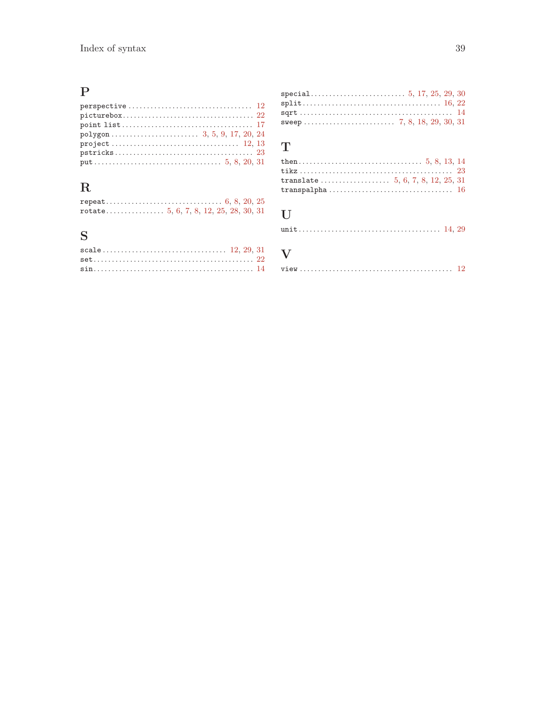# $\mathbf P$

| $picturebox 22$ |  |
|-----------------|--|
|                 |  |
|                 |  |
|                 |  |
|                 |  |
|                 |  |
|                 |  |

# $\mathbf R$

# $\mathbf S$

| $sqrt{14}$ |  |  |  |
|------------|--|--|--|
|            |  |  |  |

# $\mathbf T$

# $\mathbf U$

## $\mathbf{V}$

| view |  |
|------|--|
|------|--|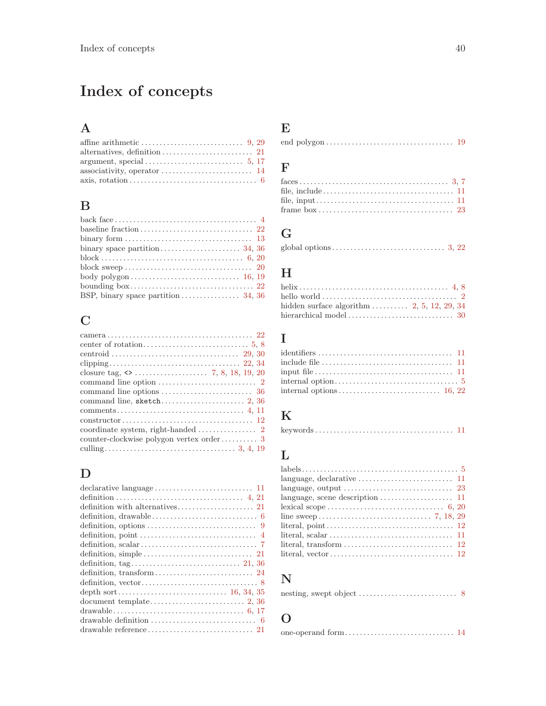# <span id="page-43-0"></span>Index of concepts

# A

# B

| BSP, binary space partition $\ldots \ldots \ldots \ldots \ldots$ 34, 36 |  |
|-------------------------------------------------------------------------|--|

# C

| $\text{constructor} \dots \dots \dots \dots \dots \dots \dots \dots \dots \dots \dots \dots \dots \dots \dots \dots \dots \dots$ |
|----------------------------------------------------------------------------------------------------------------------------------|
|                                                                                                                                  |
| counter-clockwise polygon vertex order 3                                                                                         |
|                                                                                                                                  |
|                                                                                                                                  |

# $\mathbf D$

| definition, point $\dots\dots\dots\dots\dots\dots\dots\dots\dots\dots\dots\dots$ |
|----------------------------------------------------------------------------------|
|                                                                                  |
|                                                                                  |
|                                                                                  |
|                                                                                  |
|                                                                                  |
|                                                                                  |
|                                                                                  |
|                                                                                  |
| drawable definition $\ldots \ldots \ldots \ldots \ldots \ldots \ldots \ldots$    |
|                                                                                  |

# E

|--|--|--|

# F

# G

# H

| hello world $\ldots \ldots \ldots \ldots \ldots \ldots \ldots \ldots \ldots \ldots \ldots$ |  |
|--------------------------------------------------------------------------------------------|--|
| hidden surface algorithm $2, 5, 12, 29, 34$                                                |  |
|                                                                                            |  |

# I

| include file $\ldots, \ldots, \ldots, \ldots, \ldots, \ldots, \ldots, \ldots, 11$ |  |
|-----------------------------------------------------------------------------------|--|
|                                                                                   |  |
|                                                                                   |  |
|                                                                                   |  |

# K

| $kevwords \ldots \ldots \ldots \ldots \ldots \ldots \ldots \ldots \ldots \ldots \quad 11$ |  |  |  |  |  |  |  |  |  |  |  |  |  |  |  |  |  |  |  |  |  |  |  |  |  |  |  |  |  |  |  |  |
|-------------------------------------------------------------------------------------------|--|--|--|--|--|--|--|--|--|--|--|--|--|--|--|--|--|--|--|--|--|--|--|--|--|--|--|--|--|--|--|--|
|-------------------------------------------------------------------------------------------|--|--|--|--|--|--|--|--|--|--|--|--|--|--|--|--|--|--|--|--|--|--|--|--|--|--|--|--|--|--|--|--|

# L

| language, output $\dots\dots\dots\dots\dots\dots\dots\dots\dots$ 23        |  |
|----------------------------------------------------------------------------|--|
| language, scene description $\dots \dots \dots \dots \dots \dots \dots$ 11 |  |
|                                                                            |  |
|                                                                            |  |
|                                                                            |  |
|                                                                            |  |
|                                                                            |  |
|                                                                            |  |

# N

# O

|--|--|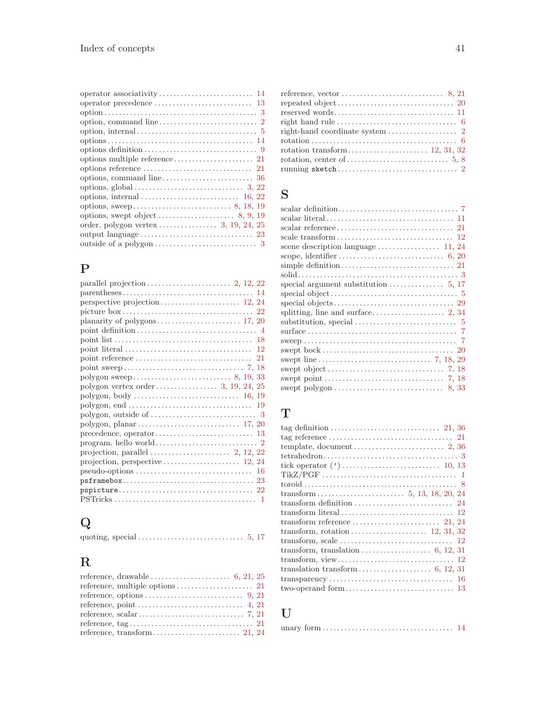# P

| parallel projection $\ldots \ldots \ldots \ldots \ldots \ldots$ 2, 12, 22                                                                    |
|----------------------------------------------------------------------------------------------------------------------------------------------|
|                                                                                                                                              |
|                                                                                                                                              |
| picture $box \ldots \ldots \ldots \ldots \ldots \ldots \ldots \ldots \ldots \ldots \ldots 22$                                                |
|                                                                                                                                              |
|                                                                                                                                              |
|                                                                                                                                              |
|                                                                                                                                              |
|                                                                                                                                              |
|                                                                                                                                              |
|                                                                                                                                              |
|                                                                                                                                              |
|                                                                                                                                              |
| $\text{polygon}, \text{end} \dots \dots \dots \dots \dots \dots \dots \dots \dots \dots \dots \dots \dots \dots \dots$                       |
|                                                                                                                                              |
| $\text{polygon}, \text{ planar} \dots \dots \dots \dots \dots \dots \dots \dots \dots \dots \dots \dots \dots \dots \dots \dots \dots \dots$ |
|                                                                                                                                              |
|                                                                                                                                              |
|                                                                                                                                              |
|                                                                                                                                              |
|                                                                                                                                              |
|                                                                                                                                              |
|                                                                                                                                              |
|                                                                                                                                              |

# Q

|--|--|--|--|--|

# R

| reference, vector $\dots\dots\dots\dots\dots\dots\dots\dots$ 8, 21                                         |
|------------------------------------------------------------------------------------------------------------|
|                                                                                                            |
|                                                                                                            |
|                                                                                                            |
|                                                                                                            |
| $rotation \dots \dots \dots \dots \dots \dots \dots \dots \dots \dots \dots \dots \dots \dots \dots \dots$ |
|                                                                                                            |
|                                                                                                            |
|                                                                                                            |
|                                                                                                            |

# S

| special argument substitution $\ldots \ldots \ldots \ldots 5, 17$     |
|-----------------------------------------------------------------------|
|                                                                       |
|                                                                       |
|                                                                       |
|                                                                       |
|                                                                       |
|                                                                       |
|                                                                       |
|                                                                       |
|                                                                       |
|                                                                       |
| swept polygon $\dots \dots \dots \dots \dots \dots \dots \dots$ 8, 33 |
|                                                                       |

# T

# $\mathbf U$